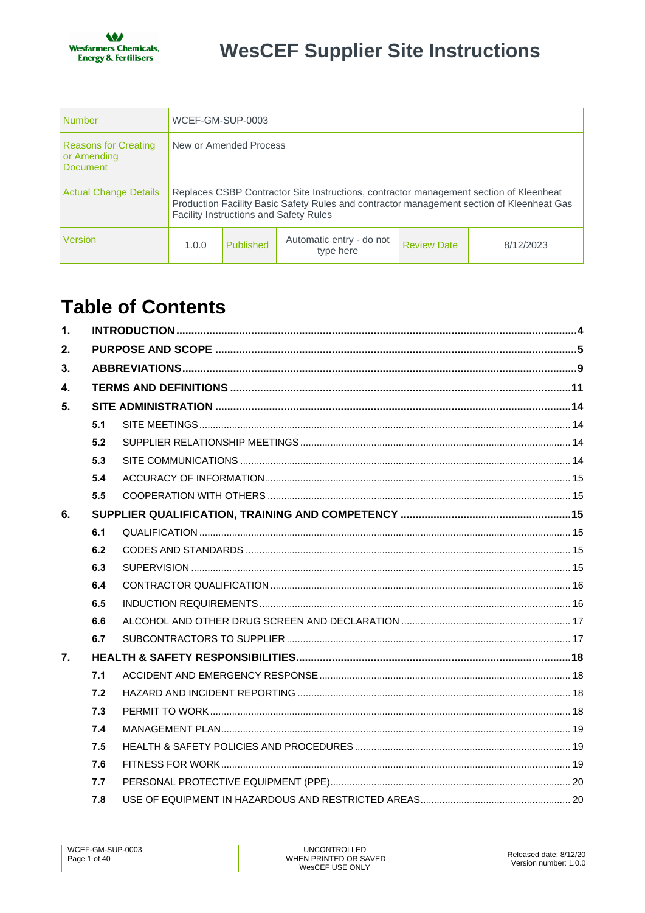| Number                                                 | WCEF-GM-SUP-0003                                                                                                                                                                                                                     |           |                                       |                    |           |
|--------------------------------------------------------|--------------------------------------------------------------------------------------------------------------------------------------------------------------------------------------------------------------------------------------|-----------|---------------------------------------|--------------------|-----------|
| <b>Reasons for Creating</b><br>or Amending<br>Document | New or Amended Process                                                                                                                                                                                                               |           |                                       |                    |           |
| Actual Change Details                                  | Replaces CSBP Contractor Site Instructions, contractor management section of Kleenheat<br>Production Facility Basic Safety Rules and contractor management section of Kleenheat Gas<br><b>Facility Instructions and Safety Rules</b> |           |                                       |                    |           |
| Version                                                | 1.0.0                                                                                                                                                                                                                                | Published | Automatic entry - do not<br>type here | <b>Review Date</b> | 8/12/2023 |

# **Table of Contents**

| $\mathbf{1}$ . |     |  |  |  |
|----------------|-----|--|--|--|
| 2.             |     |  |  |  |
| 3.             |     |  |  |  |
| $\mathbf{4}$   |     |  |  |  |
| 5.             |     |  |  |  |
|                | 5.1 |  |  |  |
|                | 5.2 |  |  |  |
|                | 5.3 |  |  |  |
|                | 5.4 |  |  |  |
|                | 5.5 |  |  |  |
| 6.             |     |  |  |  |
|                | 6.1 |  |  |  |
|                | 6.2 |  |  |  |
|                | 6.3 |  |  |  |
|                | 6.4 |  |  |  |
|                | 6.5 |  |  |  |
|                | 6.6 |  |  |  |
|                | 6.7 |  |  |  |
| 7.             |     |  |  |  |
|                | 7.1 |  |  |  |
|                | 7.2 |  |  |  |
|                | 7.3 |  |  |  |
|                | 7.4 |  |  |  |
|                | 7.5 |  |  |  |
|                | 7.6 |  |  |  |
|                | 7.7 |  |  |  |
|                | 7.8 |  |  |  |

| WCEF-GM-SUP-0003 | <b>UNCONTROLLED</b>   | Released date: 8/12/20 |
|------------------|-----------------------|------------------------|
| Page 1 of 40     | WHEN PRINTED OR SAVED |                        |
|                  | WesCEF USE ONLY       | Version number: 1.0.0  |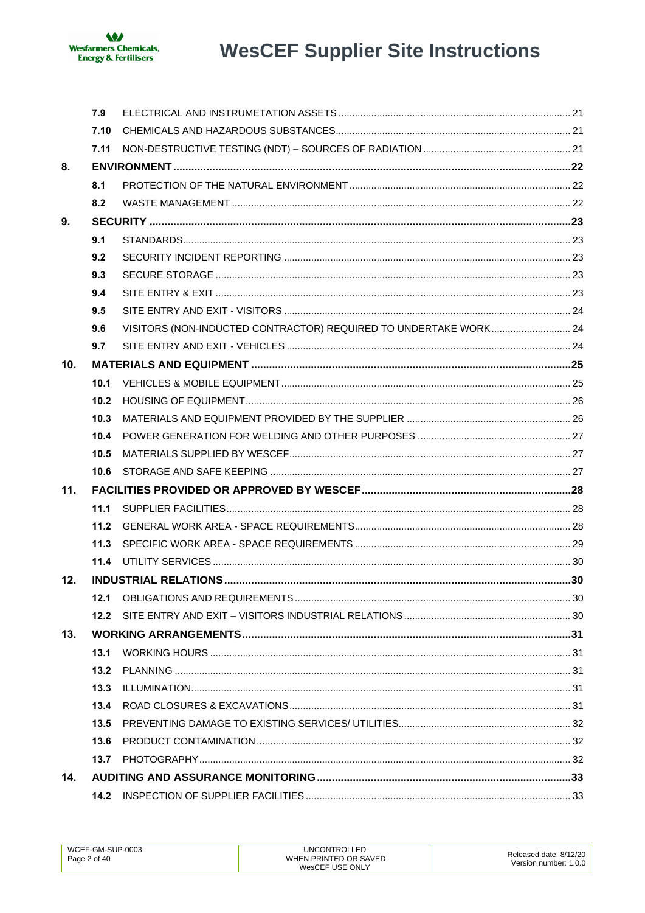

|     | 7.9  |                                                                  |  |
|-----|------|------------------------------------------------------------------|--|
|     | 7.10 |                                                                  |  |
|     | 7.11 |                                                                  |  |
| 8.  |      |                                                                  |  |
|     | 8.1  |                                                                  |  |
|     | 8.2  |                                                                  |  |
| 9.  |      |                                                                  |  |
|     | 9.1  |                                                                  |  |
|     | 9.2  |                                                                  |  |
|     | 9.3  |                                                                  |  |
|     | 9.4  |                                                                  |  |
|     | 9.5  |                                                                  |  |
|     | 9.6  | VISITORS (NON-INDUCTED CONTRACTOR) REQUIRED TO UNDERTAKE WORK 24 |  |
|     | 9.7  |                                                                  |  |
| 10. |      |                                                                  |  |
|     | 10.1 |                                                                  |  |
|     | 10.2 |                                                                  |  |
|     | 10.3 |                                                                  |  |
|     | 10.4 |                                                                  |  |
|     | 10.5 |                                                                  |  |
|     | 10.6 |                                                                  |  |
| 11. |      |                                                                  |  |
|     | 11.1 |                                                                  |  |
|     | 11.2 |                                                                  |  |
|     | 11.3 |                                                                  |  |
|     | 11.4 |                                                                  |  |
| 12. |      |                                                                  |  |
|     | 12.1 |                                                                  |  |
|     | 12.2 |                                                                  |  |
| 13. |      |                                                                  |  |
|     | 13.1 |                                                                  |  |
|     | 13.2 |                                                                  |  |
|     | 13.3 |                                                                  |  |
|     | 13.4 |                                                                  |  |
|     | 13.5 |                                                                  |  |
|     | 13.6 |                                                                  |  |
|     | 13.7 |                                                                  |  |
| 14. |      |                                                                  |  |
|     | 14.2 |                                                                  |  |

| WCEF-GM-SUP-0003 | UNCONTROLLED          |                        |
|------------------|-----------------------|------------------------|
| Page 2 of 40     | WHEN PRINTED OR SAVED | Released date: 8/12/20 |
|                  | WesCEF USE ONLY       | Version number: 1.0.0  |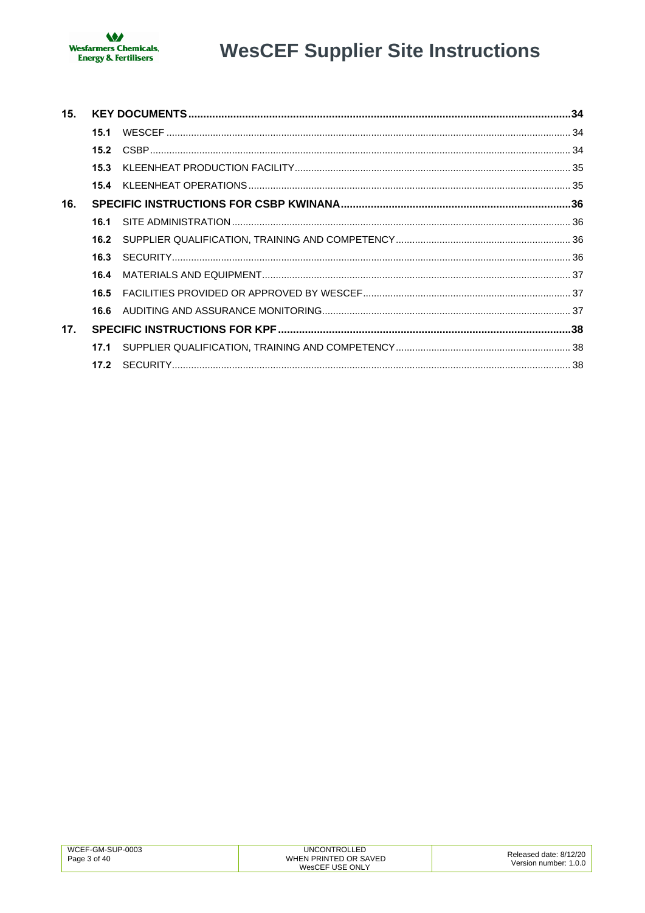

| 15.             |      |  |
|-----------------|------|--|
|                 | 15.1 |  |
|                 |      |  |
|                 |      |  |
|                 |      |  |
| 16.             |      |  |
|                 | 16.1 |  |
|                 | 16.2 |  |
|                 | 16.3 |  |
|                 | 16.4 |  |
|                 | 16.5 |  |
|                 |      |  |
| 17 <sub>1</sub> |      |  |
|                 |      |  |
|                 | 17.2 |  |

| WCEF-GM-SUP-0003 | <b>UNCONTROLLED</b>   | Released date: 8/12/20 |
|------------------|-----------------------|------------------------|
| Page 3 of 40     | WHEN PRINTED OR SAVED | Version number: 1.0.0  |
|                  | WesCEF USE ONLY       |                        |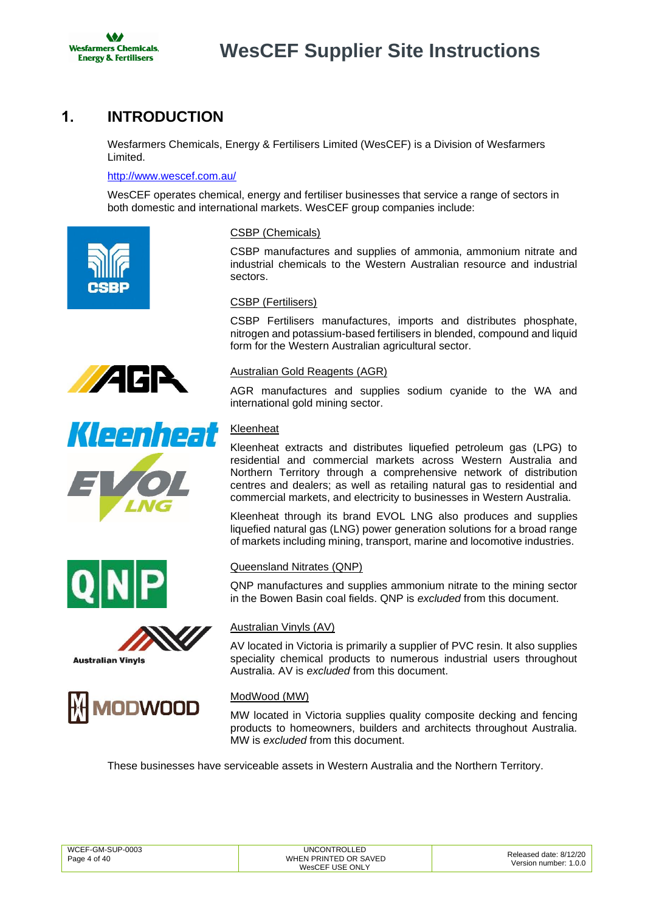

# <span id="page-3-0"></span>**1. INTRODUCTION**

Wesfarmers Chemicals, Energy & Fertilisers Limited (WesCEF) is a Division of Wesfarmers Limited.

#### <http://www.wescef.com.au/>

WesCEF operates chemical, energy and fertiliser businesses that service a range of sectors in both domestic and international markets. WesCEF group companies include:













### CSBP (Chemicals)

CSBP manufactures and supplies of ammonia, ammonium nitrate and industrial chemicals to the Western Australian resource and industrial sectors.

#### CSBP (Fertilisers)

CSBP Fertilisers manufactures, imports and distributes phosphate, nitrogen and potassium-based fertilisers in blended, compound and liquid form for the Western Australian agricultural sector.

#### Australian Gold Reagents (AGR)

AGR manufactures and supplies sodium cyanide to the WA and international gold mining sector.

### **Kleenheat**

Kleenheat extracts and distributes liquefied petroleum gas (LPG) to residential and commercial markets across Western Australia and Northern Territory through a comprehensive network of distribution centres and dealers; as well as retailing natural gas to residential and commercial markets, and electricity to businesses in Western Australia.

Kleenheat through its brand EVOL LNG also produces and supplies liquefied natural gas (LNG) power generation solutions for a broad range of markets including mining, transport, marine and locomotive industries.

#### Queensland Nitrates (QNP)

QNP manufactures and supplies ammonium nitrate to the mining sector in the Bowen Basin coal fields. QNP is *excluded* from this document.

#### Australian Vinyls (AV)

AV located in Victoria is primarily a supplier of PVC resin. It also supplies speciality chemical products to numerous industrial users throughout Australia. AV is *excluded* from this document.

### ModWood (MW)

MW located in Victoria supplies quality composite decking and fencing products to homeowners, builders and architects throughout Australia. MW is *excluded* from this document.

These businesses have serviceable assets in Western Australia and the Northern Territory.

| WCEF-GM-SUP-0003<br>Page 4 of 40 | <b>UNCONTROLLED</b><br>WHEN PRINTED OR SAVED<br>WesCEF USE ONLY | Released date: 8/12/20<br>Version number: 1.0.0 |
|----------------------------------|-----------------------------------------------------------------|-------------------------------------------------|
|                                  |                                                                 |                                                 |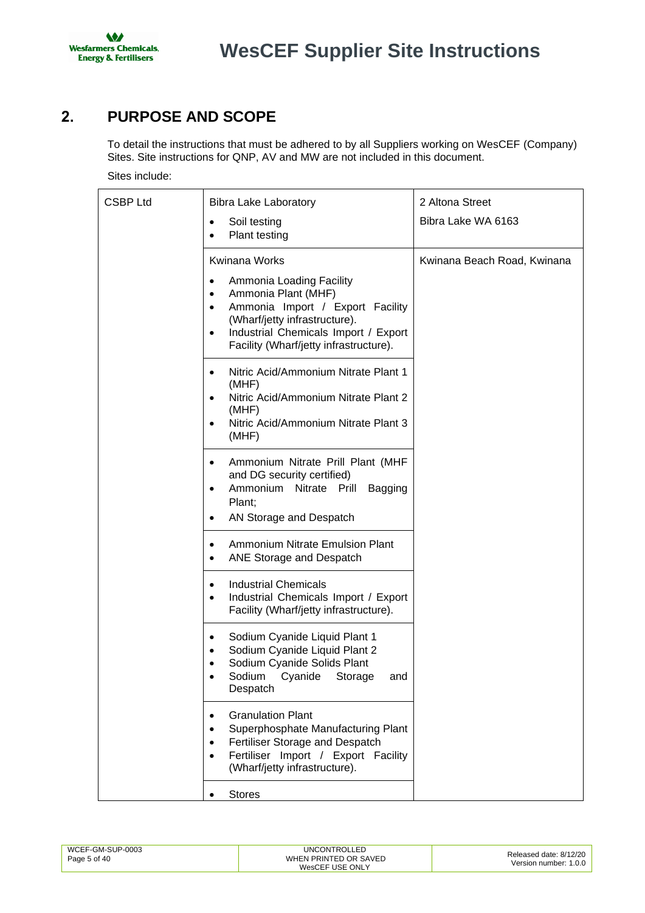

# <span id="page-4-0"></span>**2. PURPOSE AND SCOPE**

To detail the instructions that must be adhered to by all Suppliers working on WesCEF (Company) Sites. Site instructions for QNP, AV and MW are not included in this document.

Sites include:

| <b>CSBP Ltd</b> | <b>Bibra Lake Laboratory</b>                                                                                                                                                                                                                               | 2 Altona Street             |
|-----------------|------------------------------------------------------------------------------------------------------------------------------------------------------------------------------------------------------------------------------------------------------------|-----------------------------|
|                 | Soil testing<br>$\bullet$<br>Plant testing<br>$\bullet$                                                                                                                                                                                                    | Bibra Lake WA 6163          |
|                 | <b>Kwinana Works</b>                                                                                                                                                                                                                                       | Kwinana Beach Road, Kwinana |
|                 | Ammonia Loading Facility<br>$\bullet$<br>Ammonia Plant (MHF)<br>$\bullet$<br>Ammonia Import / Export Facility<br>$\bullet$<br>(Wharf/jetty infrastructure).<br>Industrial Chemicals Import / Export<br>$\bullet$<br>Facility (Wharf/jetty infrastructure). |                             |
|                 | Nitric Acid/Ammonium Nitrate Plant 1<br>(MHF)<br>Nitric Acid/Ammonium Nitrate Plant 2<br>(MHF)<br>Nitric Acid/Ammonium Nitrate Plant 3<br>(MHF)                                                                                                            |                             |
|                 | Ammonium Nitrate Prill Plant (MHF<br>٠<br>and DG security certified)<br>Ammonium Nitrate Prill Bagging<br>$\bullet$<br>Plant;<br>AN Storage and Despatch<br>$\bullet$                                                                                      |                             |
|                 | Ammonium Nitrate Emulsion Plant<br>$\bullet$<br>ANE Storage and Despatch<br>$\bullet$                                                                                                                                                                      |                             |
|                 | <b>Industrial Chemicals</b><br>$\bullet$<br>Industrial Chemicals Import / Export<br>$\bullet$<br>Facility (Wharf/jetty infrastructure).                                                                                                                    |                             |
|                 | Sodium Cyanide Liquid Plant 1<br>٠<br>Sodium Cyanide Liquid Plant 2<br>٠<br>Sodium Cyanide Solids Plant<br>Sodium Cyanide Storage and<br>Despatch                                                                                                          |                             |
|                 | <b>Granulation Plant</b><br>٠<br>Superphosphate Manufacturing Plant<br>٠<br>Fertiliser Storage and Despatch<br>Fertiliser Import / Export Facility<br>(Wharf/jetty infrastructure).                                                                        |                             |
|                 | <b>Stores</b>                                                                                                                                                                                                                                              |                             |

| UNCONTROLLED<br>WCEF-GM-SUP-0003<br>WHEN PRINTED OR SAVED<br>Page 5 of 40<br>WesCEF USE ONLY | Released date: 8/12/20<br>Version number: 1.0.0 |
|----------------------------------------------------------------------------------------------|-------------------------------------------------|
|----------------------------------------------------------------------------------------------|-------------------------------------------------|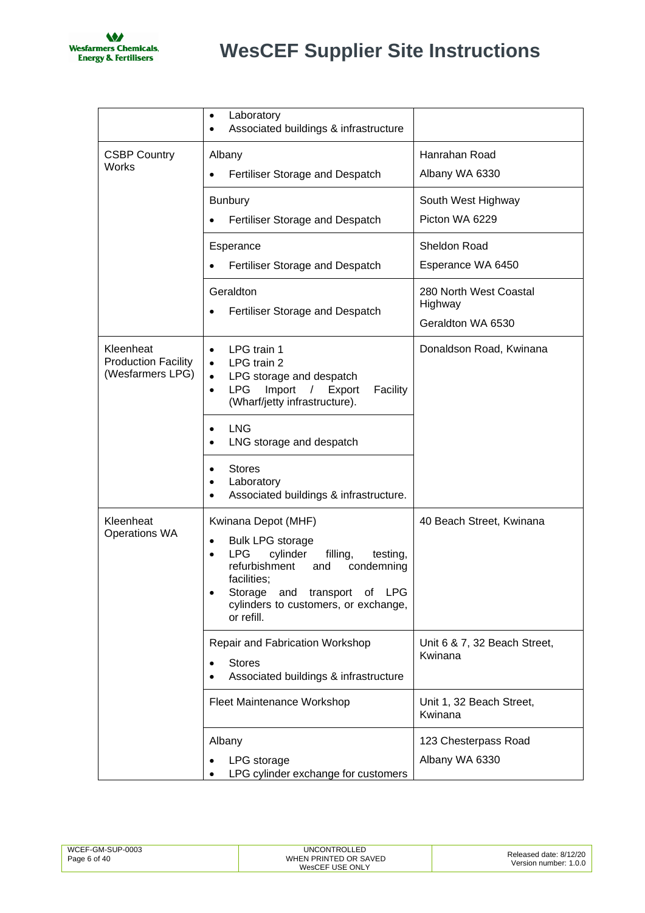

|                                                             | Laboratory<br>$\bullet$<br>Associated buildings & infrastructure                                                                                                                                                                                                      |                                                        |
|-------------------------------------------------------------|-----------------------------------------------------------------------------------------------------------------------------------------------------------------------------------------------------------------------------------------------------------------------|--------------------------------------------------------|
| <b>CSBP Country</b><br>Works                                | Albany<br>Fertiliser Storage and Despatch                                                                                                                                                                                                                             | Hanrahan Road<br>Albany WA 6330                        |
|                                                             | <b>Bunbury</b><br>Fertiliser Storage and Despatch                                                                                                                                                                                                                     | South West Highway<br>Picton WA 6229                   |
|                                                             | Esperance<br>Fertiliser Storage and Despatch                                                                                                                                                                                                                          | Sheldon Road<br>Esperance WA 6450                      |
|                                                             | Geraldton<br>Fertiliser Storage and Despatch                                                                                                                                                                                                                          | 280 North West Coastal<br>Highway<br>Geraldton WA 6530 |
| Kleenheat<br><b>Production Facility</b><br>(Wesfarmers LPG) | LPG train 1<br>$\bullet$<br>LPG train 2<br>$\bullet$<br>LPG storage and despatch<br>$\bullet$<br>Import<br>LPG<br>/ Export<br>Facility<br>$\bullet$<br>(Wharf/jetty infrastructure).                                                                                  | Donaldson Road, Kwinana                                |
|                                                             | <b>LNG</b><br>LNG storage and despatch                                                                                                                                                                                                                                |                                                        |
|                                                             | <b>Stores</b><br>Laboratory<br>Associated buildings & infrastructure.                                                                                                                                                                                                 |                                                        |
| Kleenheat<br>Operations WA                                  | Kwinana Depot (MHF)<br><b>Bulk LPG storage</b><br>$\bullet$<br><b>LPG</b><br>cylinder<br>filling,<br>testing,<br>$\bullet$<br>refurbishment<br>condemning<br>and<br>facilities;<br>Storage and transport of LPG<br>cylinders to customers, or exchange,<br>or refill. | 40 Beach Street, Kwinana                               |
|                                                             | <b>Repair and Fabrication Workshop</b><br><b>Stores</b><br>Associated buildings & infrastructure                                                                                                                                                                      | Unit 6 & 7, 32 Beach Street,<br>Kwinana                |
|                                                             | Fleet Maintenance Workshop                                                                                                                                                                                                                                            | Unit 1, 32 Beach Street,<br>Kwinana                    |
|                                                             | Albany<br>LPG storage<br>LPG cylinder exchange for customers                                                                                                                                                                                                          | 123 Chesterpass Road<br>Albany WA 6330                 |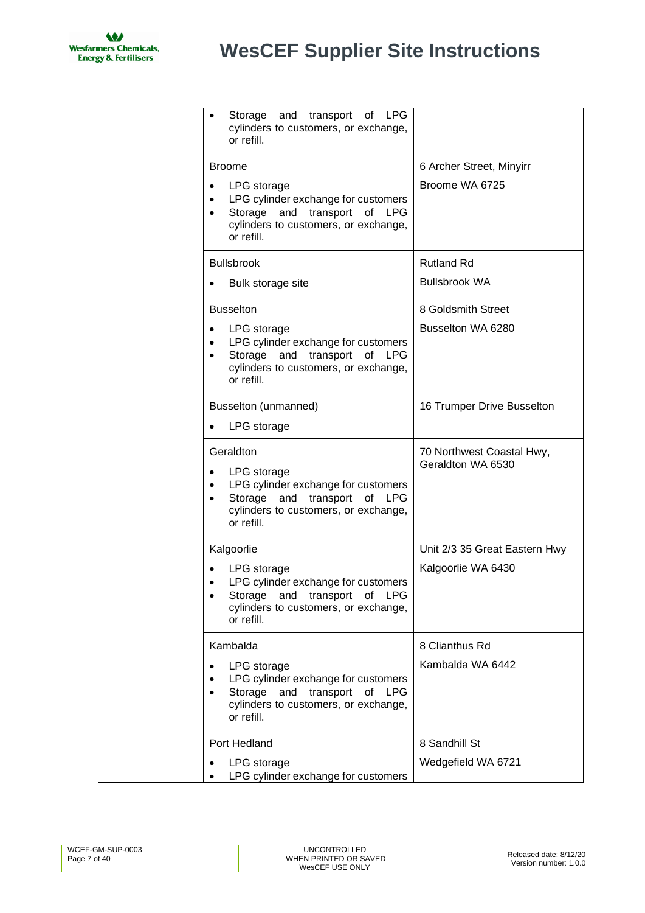

| Storage and transport of LPG<br>cylinders to customers, or exchange,<br>or refill.                                                                                             |                                                     |
|--------------------------------------------------------------------------------------------------------------------------------------------------------------------------------|-----------------------------------------------------|
| <b>Broome</b><br>LPG storage<br>LPG cylinder exchange for customers<br>Storage and transport of LPG<br>$\bullet$<br>cylinders to customers, or exchange,                       | 6 Archer Street, Minyirr<br>Broome WA 6725          |
| or refill.<br><b>Bullsbrook</b>                                                                                                                                                | <b>Rutland Rd</b>                                   |
| Bulk storage site                                                                                                                                                              | <b>Bullsbrook WA</b>                                |
| <b>Busselton</b><br>LPG storage<br>LPG cylinder exchange for customers<br>Storage and transport of LPG<br>cylinders to customers, or exchange,<br>or refill.                   | 8 Goldsmith Street<br>Busselton WA 6280             |
| Busselton (unmanned)<br>LPG storage                                                                                                                                            | 16 Trumper Drive Busselton                          |
| Geraldton<br>LPG storage<br>LPG cylinder exchange for customers<br>$\bullet$<br>Storage and transport of LPG<br>cylinders to customers, or exchange,<br>or refill.             | 70 Northwest Coastal Hwy,<br>Geraldton WA 6530      |
| Kalgoorlie<br>LPG storage<br>LPG cylinder exchange for customers<br>$\bullet$<br>Storage and transport of LPG<br>cylinders to customers, or exchange,<br>or refill.            | Unit 2/3 35 Great Eastern Hwy<br>Kalgoorlie WA 6430 |
| Kambalda<br>LPG storage<br>LPG cylinder exchange for customers<br>$\bullet$<br>Storage and transport of LPG<br>$\bullet$<br>cylinders to customers, or exchange,<br>or refill. | 8 Clianthus Rd<br>Kambalda WA 6442                  |
| Port Hedland<br>LPG storage<br>LPG cylinder exchange for customers<br>$\bullet$                                                                                                | 8 Sandhill St<br>Wedgefield WA 6721                 |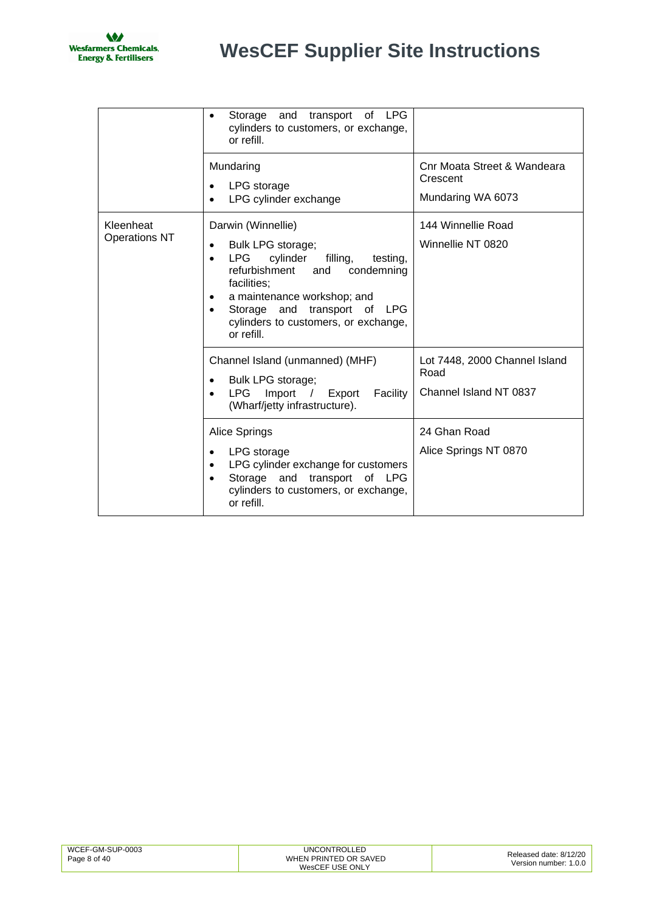

|                                   | Storage<br>and<br>transport<br>of LPG<br>cylinders to customers, or exchange,<br>or refill.                                                                                                                                                                                                                       |                                                                 |
|-----------------------------------|-------------------------------------------------------------------------------------------------------------------------------------------------------------------------------------------------------------------------------------------------------------------------------------------------------------------|-----------------------------------------------------------------|
|                                   | Mundaring<br>LPG storage<br>LPG cylinder exchange                                                                                                                                                                                                                                                                 | Cnr Moata Street & Wandeara<br>Crescent<br>Mundaring WA 6073    |
| Kleenheat<br><b>Operations NT</b> | Darwin (Winnellie)<br>Bulk LPG storage;<br>$\bullet$<br><b>LPG</b><br>cylinder<br>filling,<br>testing,<br>$\bullet$<br>refurbishment<br>condemning<br>and<br>facilities;<br>a maintenance workshop; and<br>٠<br>Storage and transport of<br><b>LPG</b><br>٠<br>cylinders to customers, or exchange,<br>or refill. | 144 Winnellie Road<br>Winnellie NT 0820                         |
|                                   | Channel Island (unmanned) (MHF)<br>Bulk LPG storage;<br><b>LPG</b><br>Import<br>Export<br>Facility<br>$\sqrt{2}$<br>(Wharf/jetty infrastructure).                                                                                                                                                                 | Lot 7448, 2000 Channel Island<br>Road<br>Channel Island NT 0837 |
|                                   | Alice Springs<br>LPG storage<br>LPG cylinder exchange for customers<br>Storage<br>and<br>transport<br>of LPG<br>cylinders to customers, or exchange,<br>or refill.                                                                                                                                                | 24 Ghan Road<br>Alice Springs NT 0870                           |

| WCEF-GM-SUP-0003<br>Page 8 of 40 | <b>UNCONTROLLED</b><br>WHEN PRINTED OR SAVED<br>WesCEF USE ONLY | Released date: 8/12/20<br>Version number: 1.0.0 |
|----------------------------------|-----------------------------------------------------------------|-------------------------------------------------|
|----------------------------------|-----------------------------------------------------------------|-------------------------------------------------|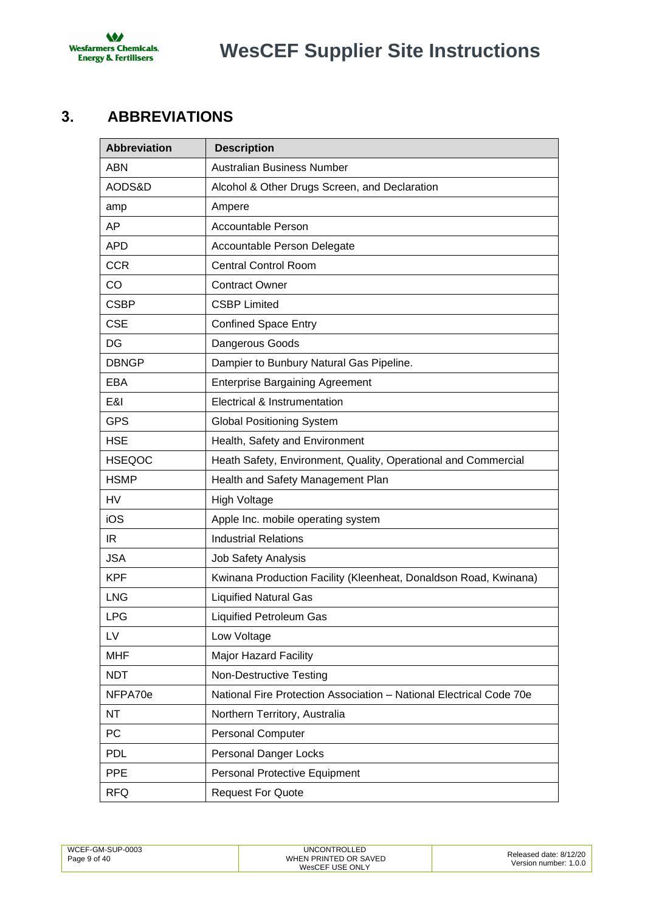

# **WesCEF Supplier Site Instructions**

# <span id="page-8-0"></span>**3. ABBREVIATIONS**

| <b>Abbreviation</b> | <b>Description</b>                                                  |
|---------------------|---------------------------------------------------------------------|
| <b>ABN</b>          | Australian Business Number                                          |
| AODS&D              | Alcohol & Other Drugs Screen, and Declaration                       |
| amp                 | Ampere                                                              |
| AP                  | <b>Accountable Person</b>                                           |
| <b>APD</b>          | Accountable Person Delegate                                         |
| <b>CCR</b>          | <b>Central Control Room</b>                                         |
| CO                  | <b>Contract Owner</b>                                               |
| <b>CSBP</b>         | <b>CSBP Limited</b>                                                 |
| <b>CSE</b>          | <b>Confined Space Entry</b>                                         |
| DG                  | Dangerous Goods                                                     |
| <b>DBNGP</b>        | Dampier to Bunbury Natural Gas Pipeline.                            |
| EBA                 | <b>Enterprise Bargaining Agreement</b>                              |
| E&I                 | Electrical & Instrumentation                                        |
| <b>GPS</b>          | <b>Global Positioning System</b>                                    |
| <b>HSE</b>          | Health, Safety and Environment                                      |
| <b>HSEQOC</b>       | Heath Safety, Environment, Quality, Operational and Commercial      |
| <b>HSMP</b>         | Health and Safety Management Plan                                   |
| <b>HV</b>           | <b>High Voltage</b>                                                 |
| iOS                 | Apple Inc. mobile operating system                                  |
| IR                  | <b>Industrial Relations</b>                                         |
| <b>JSA</b>          | <b>Job Safety Analysis</b>                                          |
| <b>KPF</b>          | Kwinana Production Facility (Kleenheat, Donaldson Road, Kwinana)    |
| <b>LNG</b>          | <b>Liquified Natural Gas</b>                                        |
| <b>LPG</b>          | <b>Liquified Petroleum Gas</b>                                      |
| LV                  | Low Voltage                                                         |
| <b>MHF</b>          | <b>Major Hazard Facility</b>                                        |
| <b>NDT</b>          | <b>Non-Destructive Testing</b>                                      |
| NFPA70e             | National Fire Protection Association - National Electrical Code 70e |
| <b>NT</b>           | Northern Territory, Australia                                       |
| PC                  | <b>Personal Computer</b>                                            |
| <b>PDL</b>          | <b>Personal Danger Locks</b>                                        |
| PPE                 | Personal Protective Equipment                                       |
| <b>RFQ</b>          | <b>Request For Quote</b>                                            |

| WCEF-GM-SUP-0003<br>Page 9 of 40 | UNCONTROLLED<br>WHEN PRINTED OR SAVED<br>WesCEF USE ONLY | Released date: 8/12/20<br>Version number: 1.0.0 |
|----------------------------------|----------------------------------------------------------|-------------------------------------------------|
|                                  |                                                          |                                                 |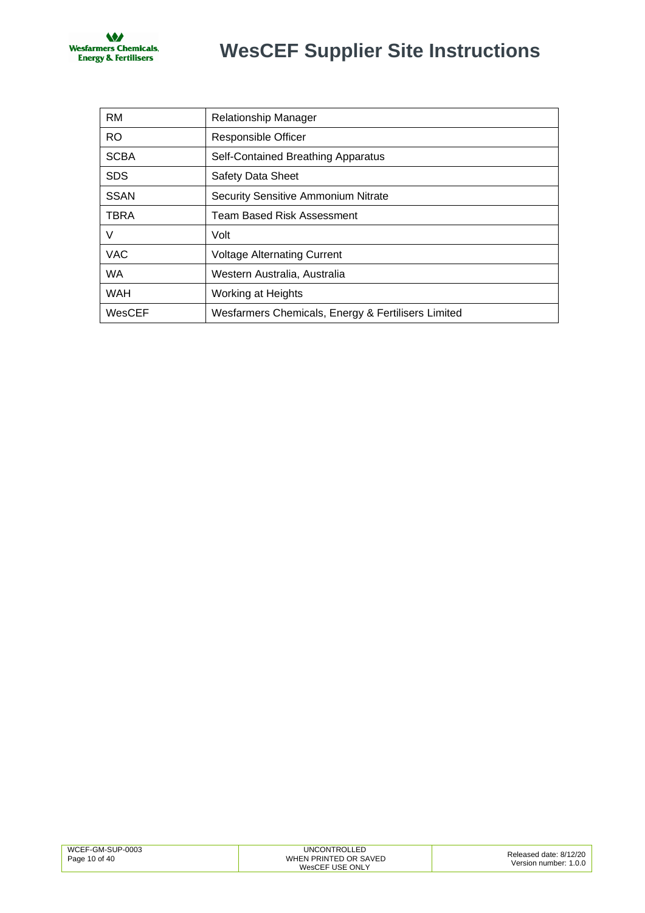

# **WesCEF Supplier Site Instructions**

| <b>RM</b>   | Relationship Manager                               |
|-------------|----------------------------------------------------|
| <b>RO</b>   | Responsible Officer                                |
| <b>SCBA</b> | Self-Contained Breathing Apparatus                 |
| <b>SDS</b>  | Safety Data Sheet                                  |
| <b>SSAN</b> | <b>Security Sensitive Ammonium Nitrate</b>         |
| <b>TBRA</b> | Team Based Risk Assessment                         |
| V           | Volt                                               |
| <b>VAC</b>  | <b>Voltage Alternating Current</b>                 |
| <b>WA</b>   | Western Australia, Australia                       |
| <b>WAH</b>  | Working at Heights                                 |
| WesCEF      | Wesfarmers Chemicals, Energy & Fertilisers Limited |

| WCEF-GM-SUP-0003 | UNCONTROLLED          | Released date: 8/12/20 |
|------------------|-----------------------|------------------------|
| Page 10 of 40    | WHEN PRINTED OR SAVED | Version number: 1.0.0  |
|                  | WesCEF USE ONLY       |                        |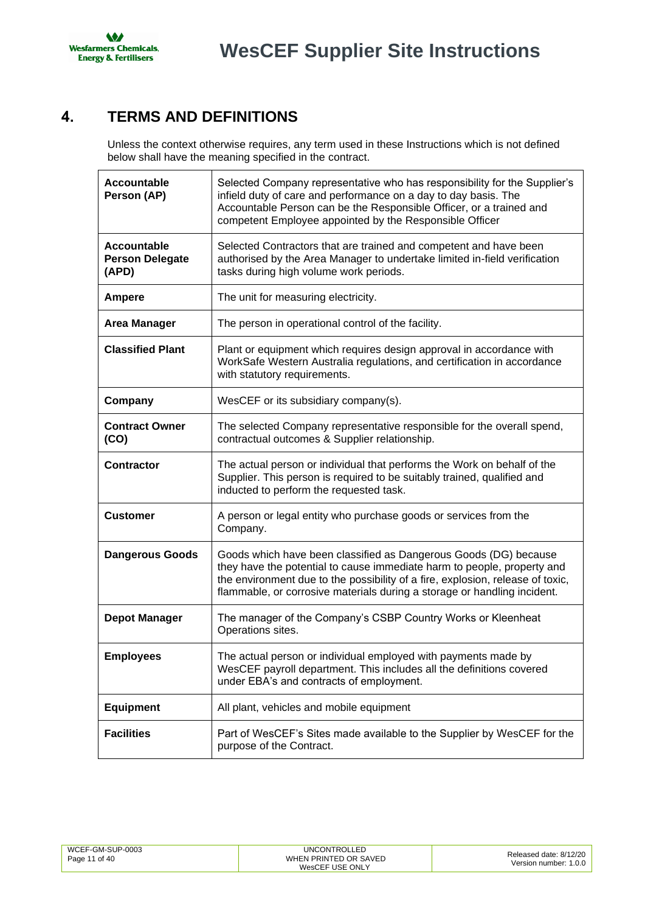

# <span id="page-10-0"></span>**4. TERMS AND DEFINITIONS**

Unless the context otherwise requires, any term used in these Instructions which is not defined below shall have the meaning specified in the contract.

| <b>Accountable</b><br>Person (AP)              | Selected Company representative who has responsibility for the Supplier's<br>infield duty of care and performance on a day to day basis. The<br>Accountable Person can be the Responsible Officer, or a trained and<br>competent Employee appointed by the Responsible Officer                            |
|------------------------------------------------|-----------------------------------------------------------------------------------------------------------------------------------------------------------------------------------------------------------------------------------------------------------------------------------------------------------|
| Accountable<br><b>Person Delegate</b><br>(APD) | Selected Contractors that are trained and competent and have been<br>authorised by the Area Manager to undertake limited in-field verification<br>tasks during high volume work periods.                                                                                                                  |
| <b>Ampere</b>                                  | The unit for measuring electricity.                                                                                                                                                                                                                                                                       |
| <b>Area Manager</b>                            | The person in operational control of the facility.                                                                                                                                                                                                                                                        |
| <b>Classified Plant</b>                        | Plant or equipment which requires design approval in accordance with<br>WorkSafe Western Australia regulations, and certification in accordance<br>with statutory requirements.                                                                                                                           |
| Company                                        | WesCEF or its subsidiary company(s).                                                                                                                                                                                                                                                                      |
| <b>Contract Owner</b><br>(CO)                  | The selected Company representative responsible for the overall spend,<br>contractual outcomes & Supplier relationship.                                                                                                                                                                                   |
| <b>Contractor</b>                              | The actual person or individual that performs the Work on behalf of the<br>Supplier. This person is required to be suitably trained, qualified and<br>inducted to perform the requested task.                                                                                                             |
| <b>Customer</b>                                | A person or legal entity who purchase goods or services from the<br>Company.                                                                                                                                                                                                                              |
| <b>Dangerous Goods</b>                         | Goods which have been classified as Dangerous Goods (DG) because<br>they have the potential to cause immediate harm to people, property and<br>the environment due to the possibility of a fire, explosion, release of toxic,<br>flammable, or corrosive materials during a storage or handling incident. |
| <b>Depot Manager</b>                           | The manager of the Company's CSBP Country Works or Kleenheat<br>Operations sites.                                                                                                                                                                                                                         |
| <b>Employees</b>                               | The actual person or individual employed with payments made by<br>WesCEF payroll department. This includes all the definitions covered<br>under EBA's and contracts of employment.                                                                                                                        |
| <b>Equipment</b>                               | All plant, vehicles and mobile equipment                                                                                                                                                                                                                                                                  |
| <b>Facilities</b>                              | Part of WesCEF's Sites made available to the Supplier by WesCEF for the<br>purpose of the Contract.                                                                                                                                                                                                       |

| WCEF-GM-SUP-0003<br>Page 11 of 40 | UNCONTROLLED<br>WHEN PRINTED OR SAVED<br>WesCEF USE ONLY | Released date: 8/12/20<br>Version number: 1.0.0 |
|-----------------------------------|----------------------------------------------------------|-------------------------------------------------|
|-----------------------------------|----------------------------------------------------------|-------------------------------------------------|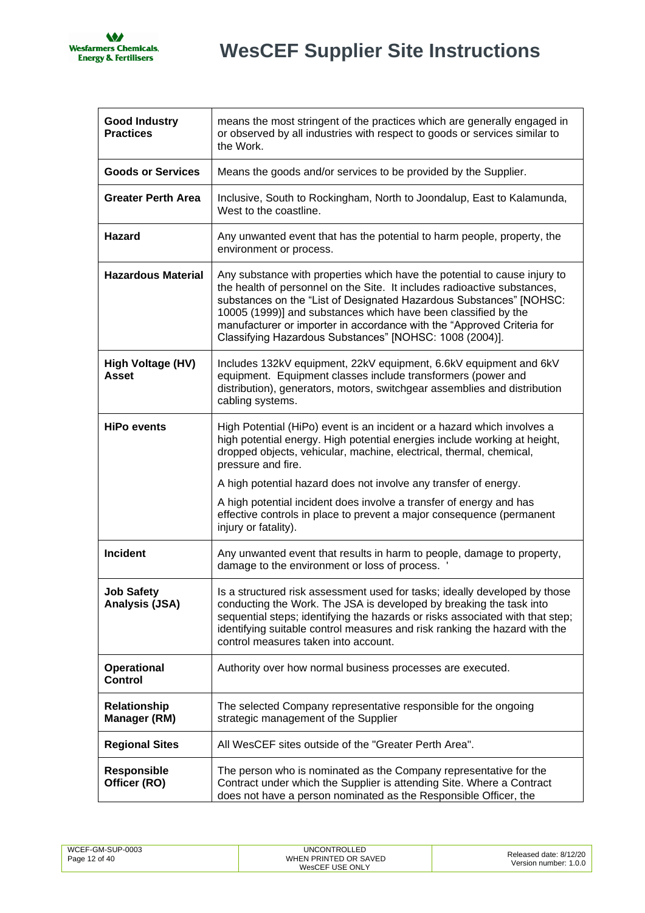

| <b>Good Industry</b><br><b>Practices</b>   | means the most stringent of the practices which are generally engaged in<br>or observed by all industries with respect to goods or services similar to<br>the Work.                                                                                                                                                                                                                                                                 |
|--------------------------------------------|-------------------------------------------------------------------------------------------------------------------------------------------------------------------------------------------------------------------------------------------------------------------------------------------------------------------------------------------------------------------------------------------------------------------------------------|
| <b>Goods or Services</b>                   | Means the goods and/or services to be provided by the Supplier.                                                                                                                                                                                                                                                                                                                                                                     |
| <b>Greater Perth Area</b>                  | Inclusive, South to Rockingham, North to Joondalup, East to Kalamunda,<br>West to the coastline.                                                                                                                                                                                                                                                                                                                                    |
| Hazard                                     | Any unwanted event that has the potential to harm people, property, the<br>environment or process.                                                                                                                                                                                                                                                                                                                                  |
| <b>Hazardous Material</b>                  | Any substance with properties which have the potential to cause injury to<br>the health of personnel on the Site. It includes radioactive substances,<br>substances on the "List of Designated Hazardous Substances" [NOHSC:<br>10005 (1999)] and substances which have been classified by the<br>manufacturer or importer in accordance with the "Approved Criteria for<br>Classifying Hazardous Substances" [NOHSC: 1008 (2004)]. |
| High Voltage (HV)<br><b>Asset</b>          | Includes 132kV equipment, 22kV equipment, 6.6kV equipment and 6kV<br>equipment. Equipment classes include transformers (power and<br>distribution), generators, motors, switchgear assemblies and distribution<br>cabling systems.                                                                                                                                                                                                  |
| <b>HiPo events</b>                         | High Potential (HiPo) event is an incident or a hazard which involves a<br>high potential energy. High potential energies include working at height,<br>dropped objects, vehicular, machine, electrical, thermal, chemical,<br>pressure and fire.                                                                                                                                                                                   |
|                                            | A high potential hazard does not involve any transfer of energy.                                                                                                                                                                                                                                                                                                                                                                    |
|                                            | A high potential incident does involve a transfer of energy and has<br>effective controls in place to prevent a major consequence (permanent<br>injury or fatality).                                                                                                                                                                                                                                                                |
| <b>Incident</b>                            | Any unwanted event that results in harm to people, damage to property,<br>damage to the environment or loss of process.                                                                                                                                                                                                                                                                                                             |
| <b>Job Safety</b><br><b>Analysis (JSA)</b> | Is a structured risk assessment used for tasks; ideally developed by those<br>conducting the Work. The JSA is developed by breaking the task into<br>sequential steps; identifying the hazards or risks associated with that step;<br>identifying suitable control measures and risk ranking the hazard with the<br>control measures taken into account.                                                                            |
| <b>Operational</b><br><b>Control</b>       | Authority over how normal business processes are executed.                                                                                                                                                                                                                                                                                                                                                                          |
| <b>Relationship</b><br><b>Manager (RM)</b> | The selected Company representative responsible for the ongoing<br>strategic management of the Supplier                                                                                                                                                                                                                                                                                                                             |
| <b>Regional Sites</b>                      | All WesCEF sites outside of the "Greater Perth Area".                                                                                                                                                                                                                                                                                                                                                                               |
| <b>Responsible</b><br>Officer (RO)         | The person who is nominated as the Company representative for the<br>Contract under which the Supplier is attending Site. Where a Contract<br>does not have a person nominated as the Responsible Officer, the                                                                                                                                                                                                                      |

| WCEF-GM-SUP-0003 | <b>UNCONTROLLED</b>   | Released date: 8/12/20 |
|------------------|-----------------------|------------------------|
| Page 12 of 40    | WHEN PRINTED OR SAVED |                        |
|                  | WesCEF USE ONLY       | Version number: 1.0.0  |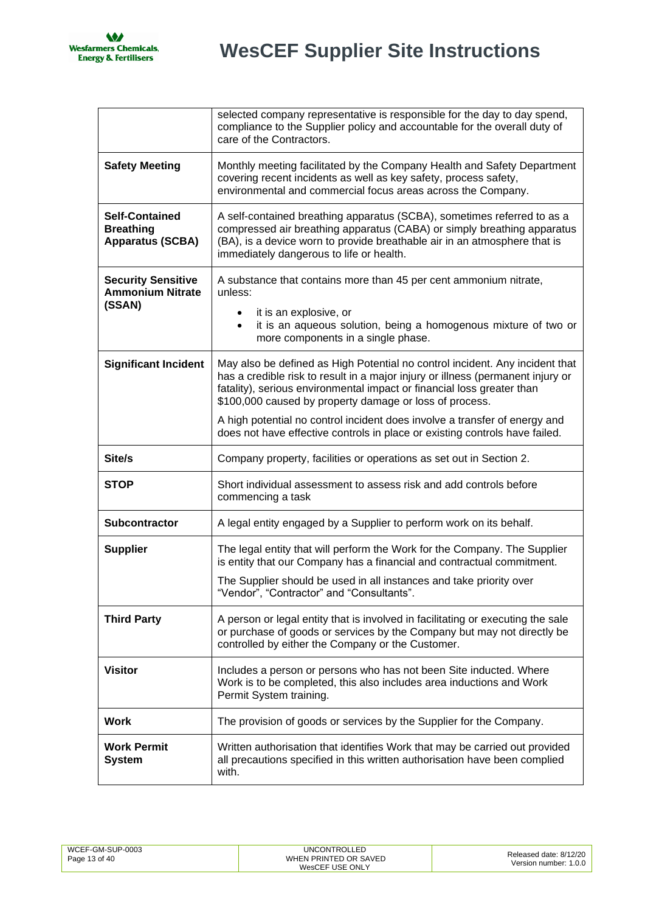$\overline{\phantom{a}}$ 

|                                                                      | selected company representative is responsible for the day to day spend,<br>compliance to the Supplier policy and accountable for the overall duty of<br>care of the Contractors.                                                                                                                    |
|----------------------------------------------------------------------|------------------------------------------------------------------------------------------------------------------------------------------------------------------------------------------------------------------------------------------------------------------------------------------------------|
| <b>Safety Meeting</b>                                                | Monthly meeting facilitated by the Company Health and Safety Department<br>covering recent incidents as well as key safety, process safety,<br>environmental and commercial focus areas across the Company.                                                                                          |
| <b>Self-Contained</b><br><b>Breathing</b><br><b>Apparatus (SCBA)</b> | A self-contained breathing apparatus (SCBA), sometimes referred to as a<br>compressed air breathing apparatus (CABA) or simply breathing apparatus<br>(BA), is a device worn to provide breathable air in an atmosphere that is<br>immediately dangerous to life or health.                          |
| <b>Security Sensitive</b><br><b>Ammonium Nitrate</b><br>(SSAN)       | A substance that contains more than 45 per cent ammonium nitrate,<br>unless:<br>it is an explosive, or<br>it is an aqueous solution, being a homogenous mixture of two or<br>$\bullet$<br>more components in a single phase.                                                                         |
| <b>Significant Incident</b>                                          | May also be defined as High Potential no control incident. Any incident that<br>has a credible risk to result in a major injury or illness (permanent injury or<br>fatality), serious environmental impact or financial loss greater than<br>\$100,000 caused by property damage or loss of process. |
|                                                                      | A high potential no control incident does involve a transfer of energy and<br>does not have effective controls in place or existing controls have failed.                                                                                                                                            |
| Site/s                                                               | Company property, facilities or operations as set out in Section 2.                                                                                                                                                                                                                                  |
| <b>STOP</b>                                                          | Short individual assessment to assess risk and add controls before<br>commencing a task                                                                                                                                                                                                              |
| Subcontractor                                                        | A legal entity engaged by a Supplier to perform work on its behalf.                                                                                                                                                                                                                                  |
| <b>Supplier</b>                                                      | The legal entity that will perform the Work for the Company. The Supplier<br>is entity that our Company has a financial and contractual commitment.                                                                                                                                                  |
|                                                                      | The Supplier should be used in all instances and take priority over<br>"Vendor", "Contractor" and "Consultants".                                                                                                                                                                                     |
| <b>Third Party</b>                                                   | A person or legal entity that is involved in facilitating or executing the sale<br>or purchase of goods or services by the Company but may not directly be<br>controlled by either the Company or the Customer.                                                                                      |
| <b>Visitor</b>                                                       | Includes a person or persons who has not been Site inducted. Where<br>Work is to be completed, this also includes area inductions and Work<br>Permit System training.                                                                                                                                |
| <b>Work</b>                                                          | The provision of goods or services by the Supplier for the Company.                                                                                                                                                                                                                                  |
| <b>Work Permit</b><br><b>System</b>                                  | Written authorisation that identifies Work that may be carried out provided<br>all precautions specified in this written authorisation have been complied<br>with.                                                                                                                                   |

| WCEF-GM-SUP-0003<br>UNCONTROLLED<br>WHEN PRINTED OR SAVED<br>Page 13 of 40<br>WesCEF USE ONLY | Released date: 8/12/20<br>Version number: 1.0.0 |
|-----------------------------------------------------------------------------------------------|-------------------------------------------------|
|-----------------------------------------------------------------------------------------------|-------------------------------------------------|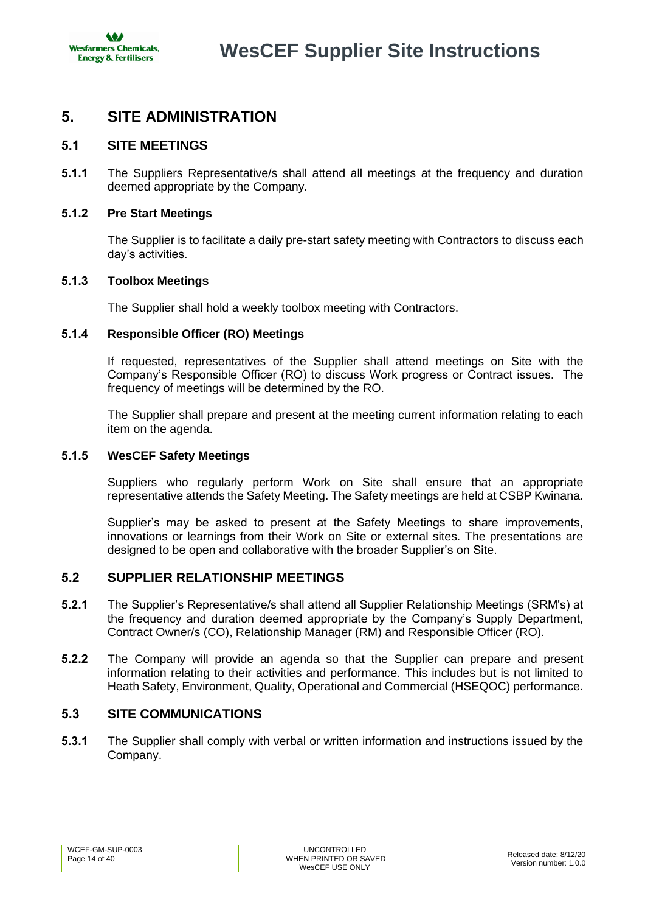# <span id="page-13-0"></span>**5. SITE ADMINISTRATION**

# <span id="page-13-1"></span>**5.1 SITE MEETINGS**

**5.1.1** The Suppliers Representative/s shall attend all meetings at the frequency and duration deemed appropriate by the Company.

### **5.1.2 Pre Start Meetings**

The Supplier is to facilitate a daily pre-start safety meeting with Contractors to discuss each day's activities.

### **5.1.3 Toolbox Meetings**

The Supplier shall hold a weekly toolbox meeting with Contractors.

### **5.1.4 Responsible Officer (RO) Meetings**

If requested, representatives of the Supplier shall attend meetings on Site with the Company's Responsible Officer (RO) to discuss Work progress or Contract issues. The frequency of meetings will be determined by the RO.

The Supplier shall prepare and present at the meeting current information relating to each item on the agenda.

### **5.1.5 WesCEF Safety Meetings**

Suppliers who regularly perform Work on Site shall ensure that an appropriate representative attends the Safety Meeting. The Safety meetings are held at CSBP Kwinana.

Supplier's may be asked to present at the Safety Meetings to share improvements, innovations or learnings from their Work on Site or external sites. The presentations are designed to be open and collaborative with the broader Supplier's on Site.

# <span id="page-13-2"></span>**5.2 SUPPLIER RELATIONSHIP MEETINGS**

- **5.2.1** The Supplier's Representative/s shall attend all Supplier Relationship Meetings (SRM's) at the frequency and duration deemed appropriate by the Company's Supply Department, Contract Owner/s (CO), Relationship Manager (RM) and Responsible Officer (RO).
- **5.2.2** The Company will provide an agenda so that the Supplier can prepare and present information relating to their activities and performance. This includes but is not limited to Heath Safety, Environment, Quality, Operational and Commercial (HSEQOC) performance.

### <span id="page-13-3"></span>**5.3 SITE COMMUNICATIONS**

**5.3.1** The Supplier shall comply with verbal or written information and instructions issued by the Company.

| WCEF-GM-SUP-0003 | <b>UNCONTROLLED</b>   | Released date: 8/12/20 |
|------------------|-----------------------|------------------------|
| Page 14 of 40    | WHEN PRINTED OR SAVED | Version number: 1.0.0  |
|                  | WesCEF USE ONLY       |                        |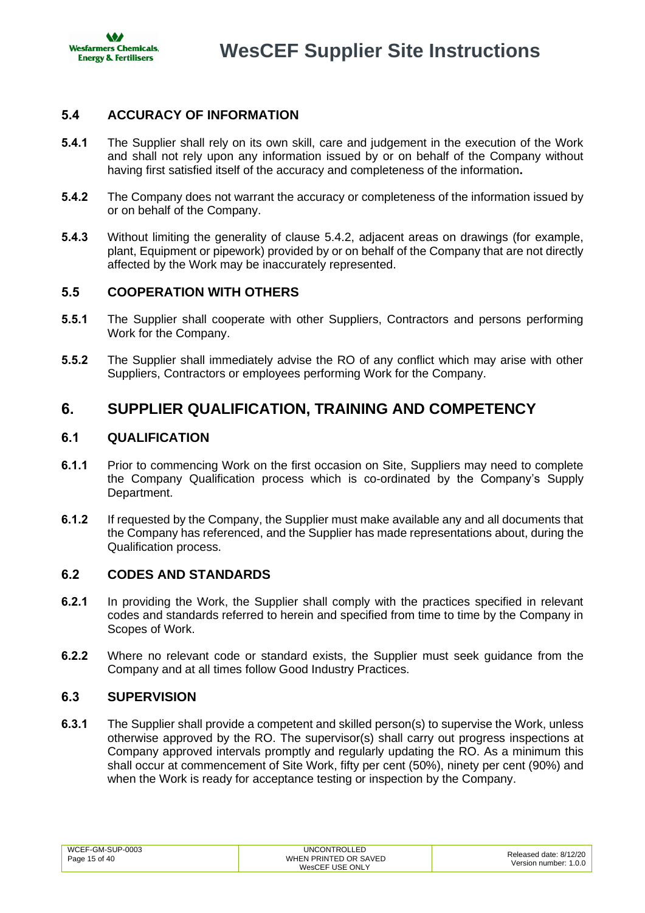

# <span id="page-14-0"></span>**5.4 ACCURACY OF INFORMATION**

- **5.4.1** The Supplier shall rely on its own skill, care and judgement in the execution of the Work and shall not rely upon any information issued by or on behalf of the Company without having first satisfied itself of the accuracy and completeness of the information**.**
- <span id="page-14-6"></span>**5.4.2** The Company does not warrant the accuracy or completeness of the information issued by or on behalf of the Company.
- **5.4.3** Without limiting the generality of clause [5.4.2,](#page-14-6) adjacent areas on drawings (for example, plant, Equipment or pipework) provided by or on behalf of the Company that are not directly affected by the Work may be inaccurately represented.

# <span id="page-14-1"></span>**5.5 COOPERATION WITH OTHERS**

- **5.5.1** The Supplier shall cooperate with other Suppliers, Contractors and persons performing Work for the Company.
- **5.5.2** The Supplier shall immediately advise the RO of any conflict which may arise with other Suppliers, Contractors or employees performing Work for the Company.

# <span id="page-14-2"></span>**6. SUPPLIER QUALIFICATION, TRAINING AND COMPETENCY**

# <span id="page-14-3"></span>**6.1 QUALIFICATION**

- **6.1.1** Prior to commencing Work on the first occasion on Site, Suppliers may need to complete the Company Qualification process which is co-ordinated by the Company's Supply Department.
- **6.1.2** If requested by the Company, the Supplier must make available any and all documents that the Company has referenced, and the Supplier has made representations about, during the Qualification process.

### <span id="page-14-4"></span>**6.2 CODES AND STANDARDS**

- **6.2.1** In providing the Work, the Supplier shall comply with the practices specified in relevant codes and standards referred to herein and specified from time to time by the Company in Scopes of Work.
- **6.2.2** Where no relevant code or standard exists, the Supplier must seek guidance from the Company and at all times follow Good Industry Practices.

### <span id="page-14-5"></span>**6.3 SUPERVISION**

**6.3.1** The Supplier shall provide a competent and skilled person(s) to supervise the Work, unless otherwise approved by the RO. The supervisor(s) shall carry out progress inspections at Company approved intervals promptly and regularly updating the RO. As a minimum this shall occur at commencement of Site Work, fifty per cent (50%), ninety per cent (90%) and when the Work is ready for acceptance testing or inspection by the Company.

| WCEF-GM-SUP-0003 | <b>UNCONTROLLED</b>   | Released date: 8/12/20 |
|------------------|-----------------------|------------------------|
| Page 15 of 40    | WHEN PRINTED OR SAVED |                        |
|                  | WesCEF USE ONLY       | Version number: 1.0.0  |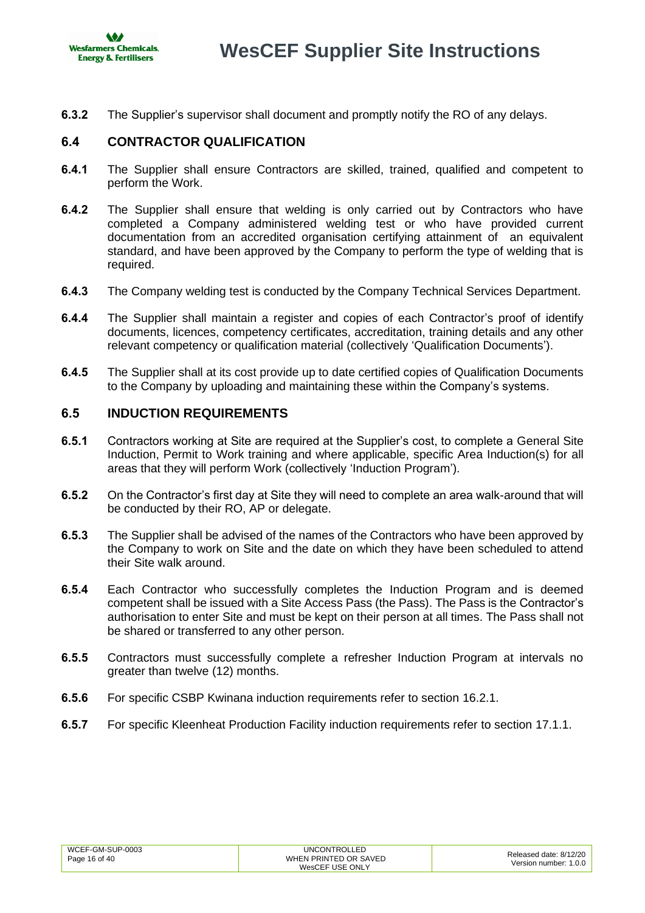

**6.3.2** The Supplier's supervisor shall document and promptly notify the RO of any delays.

# <span id="page-15-0"></span>**6.4 CONTRACTOR QUALIFICATION**

- **6.4.1** The Supplier shall ensure Contractors are skilled, trained, qualified and competent to perform the Work.
- **6.4.2** The Supplier shall ensure that welding is only carried out by Contractors who have completed a Company administered welding test or who have provided current documentation from an accredited organisation certifying attainment of an equivalent standard, and have been approved by the Company to perform the type of welding that is required.
- **6.4.3** The Company welding test is conducted by the Company Technical Services Department.
- **6.4.4** The Supplier shall maintain a register and copies of each Contractor's proof of identify documents, licences, competency certificates, accreditation, training details and any other relevant competency or qualification material (collectively 'Qualification Documents').
- **6.4.5** The Supplier shall at its cost provide up to date certified copies of Qualification Documents to the Company by uploading and maintaining these within the Company's systems.

# <span id="page-15-1"></span>**6.5 INDUCTION REQUIREMENTS**

- **6.5.1** Contractors working at Site are required at the Supplier's cost, to complete a General Site Induction, Permit to Work training and where applicable, specific Area Induction(s) for all areas that they will perform Work (collectively 'Induction Program').
- **6.5.2** On the Contractor's first day at Site they will need to complete an area walk-around that will be conducted by their RO, AP or delegate.
- **6.5.3** The Supplier shall be advised of the names of the Contractors who have been approved by the Company to work on Site and the date on which they have been scheduled to attend their Site walk around.
- **6.5.4** Each Contractor who successfully completes the Induction Program and is deemed competent shall be issued with a Site Access Pass (the Pass). The Pass is the Contractor's authorisation to enter Site and must be kept on their person at all times. The Pass shall not be shared or transferred to any other person.
- **6.5.5** Contractors must successfully complete a refresher Induction Program at intervals no greater than twelve (12) months.
- **6.5.6** For specific CSBP Kwinana induction requirements refer to section [16.2.1.](#page-35-4)
- **6.5.7** For specific Kleenheat Production Facility induction requirements refer to section [17.1.1.](#page-37-3)

| WCEF-GM-SUP-0003 | <b>UNCONTROLLED</b>   | Released date: 8/12/20 |
|------------------|-----------------------|------------------------|
| Page 16 of 40    | WHEN PRINTED OR SAVED | Version number: 1.0.0  |
|                  | WesCEF USE ONLY       |                        |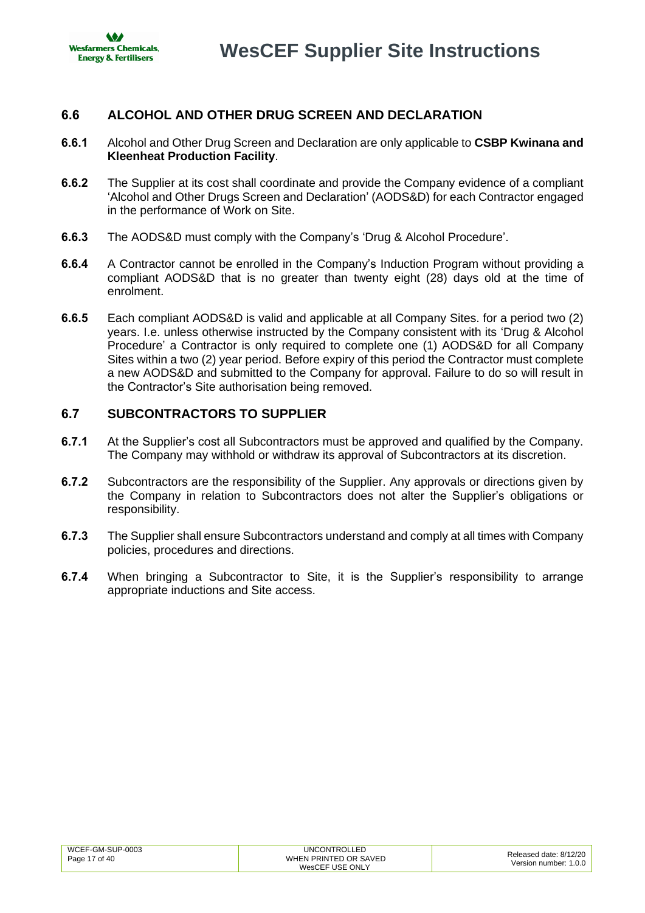

# <span id="page-16-0"></span>**6.6 ALCOHOL AND OTHER DRUG SCREEN AND DECLARATION**

- **6.6.1** Alcohol and Other Drug Screen and Declaration are only applicable to **CSBP Kwinana and Kleenheat Production Facility**.
- **6.6.2** The Supplier at its cost shall coordinate and provide the Company evidence of a compliant ['Alcohol and Other Drugs Screen](https://www.csbp.com.au/docs/default-source/procurement/safety-resources/wescef-aod-contractor-declaration.pdf?sfvrsn=2d3fd438_4) and Declaration' (AODS&D) for each Contractor engaged in the performance of Work on Site.
- **6.6.3** The AODS&D must comply with the Company's 'Drug & Alcohol Procedure'.
- **6.6.4** A Contractor cannot be enrolled in the Company's Induction Program without providing a compliant AODS&D that is no greater than twenty eight (28) days old at the time of enrolment.
- **6.6.5** Each compliant AODS&D is valid and applicable at all Company Sites. for a period two (2) years. I.e. unless otherwise instructed by the Company consistent with its 'Drug & Alcohol Procedure' a Contractor is only required to complete one (1) AODS&D for all Company Sites within a two (2) year period. Before expiry of this period the Contractor must complete a new AODS&D and submitted to the Company for approval. Failure to do so will result in the Contractor's Site authorisation being removed.

# <span id="page-16-1"></span>**6.7 SUBCONTRACTORS TO SUPPLIER**

- **6.7.1** At the Supplier's cost all Subcontractors must be approved and qualified by the Company. The Company may withhold or withdraw its approval of Subcontractors at its discretion.
- **6.7.2** Subcontractors are the responsibility of the Supplier. Any approvals or directions given by the Company in relation to Subcontractors does not alter the Supplier's obligations or responsibility.
- **6.7.3** The Supplier shall ensure Subcontractors understand and comply at all times with Company policies, procedures and directions.
- **6.7.4** When bringing a Subcontractor to Site, it is the Supplier's responsibility to arrange appropriate inductions and Site access.

| WCEF-GM-SUP-0003 | <b>UNCONTROLLED</b>   | Released date: 8/12/20 |
|------------------|-----------------------|------------------------|
| Page 17 of 40    | WHEN PRINTED OR SAVED | Version number: 1.0.0  |
|                  | WesCEF USE ONLY       |                        |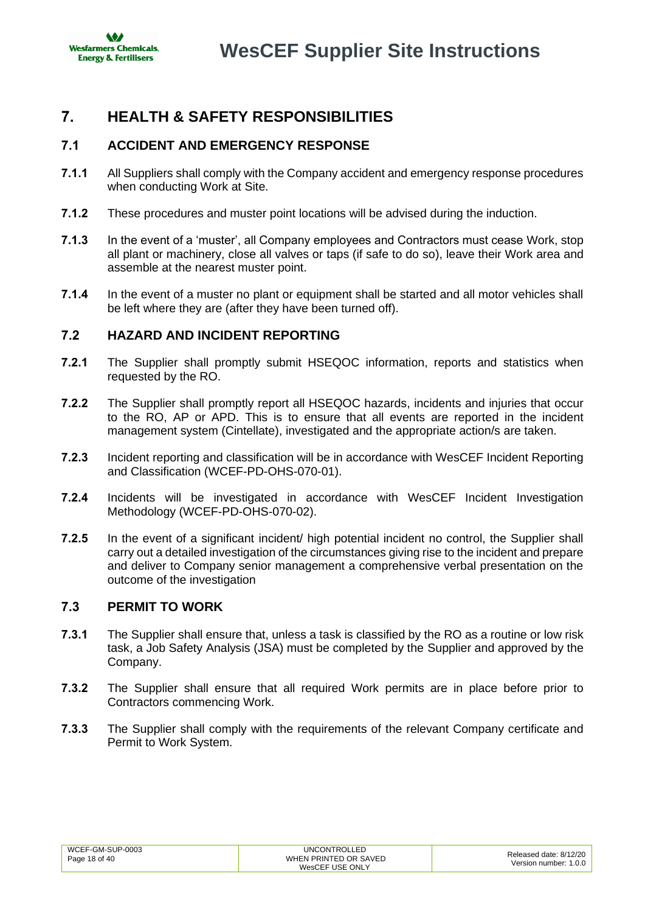

# <span id="page-17-0"></span>**7. HEALTH & SAFETY RESPONSIBILITIES**

# <span id="page-17-1"></span>**7.1 ACCIDENT AND EMERGENCY RESPONSE**

- **7.1.1** All Suppliers shall comply with the Company accident and emergency response procedures when conducting Work at Site.
- **7.1.2** These procedures and muster point locations will be advised during the induction.
- **7.1.3** In the event of a 'muster', all Company employees and Contractors must cease Work, stop all plant or machinery, close all valves or taps (if safe to do so), leave their Work area and assemble at the nearest muster point.
- **7.1.4** In the event of a muster no plant or equipment shall be started and all motor vehicles shall be left where they are (after they have been turned off).

# <span id="page-17-2"></span>**7.2 HAZARD AND INCIDENT REPORTING**

- **7.2.1** The Supplier shall promptly submit HSEQOC information, reports and statistics when requested by the RO.
- **7.2.2** The Supplier shall promptly report all HSEQOC hazards, incidents and injuries that occur to the RO, AP or APD. This is to ensure that all events are reported in the incident management system (Cintellate), investigated and the appropriate action/s are taken.
- **7.2.3** Incident reporting and classification will be in accordance with WesCEF Incident Reporting and Classification (WCEF-PD-OHS-070-01).
- **7.2.4** Incidents will be investigated in accordance with WesCEF Incident Investigation Methodology (WCEF-PD-OHS-070-02).
- **7.2.5** In the event of a significant incident/ high potential incident no control, the Supplier shall carry out a detailed investigation of the circumstances giving rise to the incident and prepare and deliver to Company senior management a comprehensive verbal presentation on the outcome of the investigation

### <span id="page-17-3"></span>**7.3 PERMIT TO WORK**

- **7.3.1** The Supplier shall ensure that, unless a task is classified by the RO as a routine or low risk task, a Job Safety Analysis (JSA) must be completed by the Supplier and approved by the Company.
- **7.3.2** The Supplier shall ensure that all required Work permits are in place before prior to Contractors commencing Work.
- **7.3.3** The Supplier shall comply with the requirements of the relevant Company certificate and Permit to Work System.

| WCEF-GM-SUP-0003<br>Page 18 of 40 | <b>UNCONTROLLED</b><br>WHEN PRINTED OR SAVED<br>WesCEF USE ONLY | Released date: 8/12/20<br>Version number: 1.0.0 |
|-----------------------------------|-----------------------------------------------------------------|-------------------------------------------------|
|                                   |                                                                 |                                                 |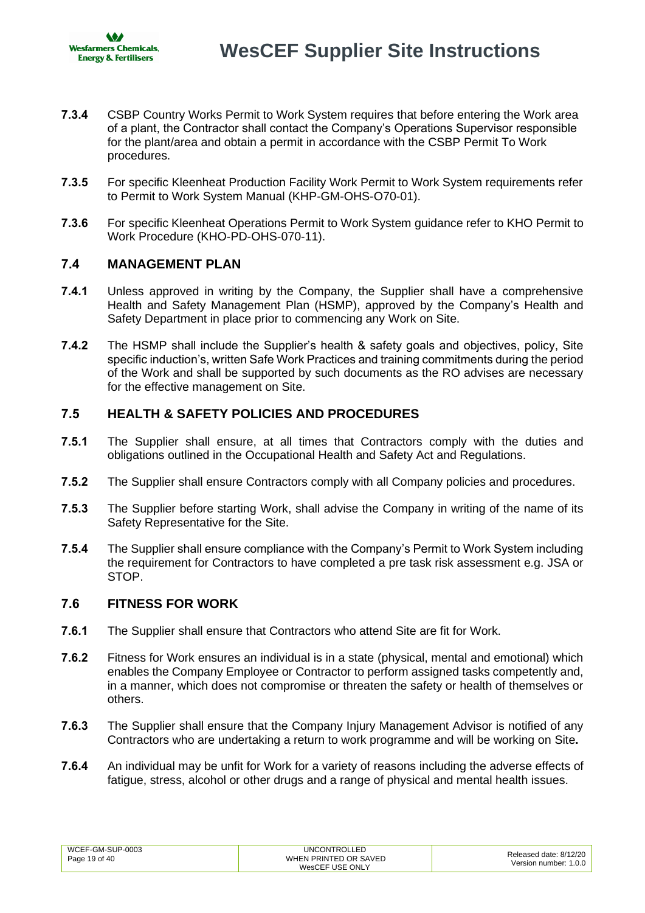- **7.3.4** CSBP Country Works Permit to Work System requires that before entering the Work area of a plant, the Contractor shall contact the Company's Operations Supervisor responsible for the plant/area and obtain a permit in accordance with the CSBP Permit To Work procedures.
- **7.3.5** For specific Kleenheat Production Facility Work Permit to Work System requirements refer to Permit to Work System Manual (KHP-GM-OHS-O70-01).
- **7.3.6** For specific Kleenheat Operations Permit to Work System guidance refer to KHO Permit to Work Procedure (KHO-PD-OHS-070-11).

# <span id="page-18-0"></span>**7.4 MANAGEMENT PLAN**

- **7.4.1** Unless approved in writing by the Company, the Supplier shall have a comprehensive Health and Safety Management Plan (HSMP), approved by the Company's Health and Safety Department in place prior to commencing any Work on Site.
- **7.4.2** The HSMP shall include the Supplier's health & safety goals and objectives, policy, Site specific induction's, written Safe Work Practices and training commitments during the period of the Work and shall be supported by such documents as the RO advises are necessary for the effective management on Site.

# <span id="page-18-1"></span>**7.5 HEALTH & SAFETY POLICIES AND PROCEDURES**

- **7.5.1** The Supplier shall ensure, at all times that Contractors comply with the duties and obligations outlined in the Occupational Health and Safety Act and Regulations.
- **7.5.2** The Supplier shall ensure Contractors comply with all Company policies and procedures.
- **7.5.3** The Supplier before starting Work, shall advise the Company in writing of the name of its Safety Representative for the Site.
- **7.5.4** The Supplier shall ensure compliance with the Company's Permit to Work System including the requirement for Contractors to have completed a pre task risk assessment e.g. JSA or STOP.

### <span id="page-18-2"></span>**7.6 FITNESS FOR WORK**

- **7.6.1** The Supplier shall ensure that Contractors who attend Site are fit for Work.
- **7.6.2** Fitness for Work ensures an individual is in a state (physical, mental and emotional) which enables the Company Employee or Contractor to perform assigned tasks competently and, in a manner, which does not compromise or threaten the safety or health of themselves or others.
- **7.6.3** The Supplier shall ensure that the Company Injury Management Advisor is notified of any Contractors who are undertaking a return to work programme and will be working on Site**.**
- **7.6.4** An individual may be unfit for Work for a variety of reasons including the adverse effects of fatigue, stress, alcohol or other drugs and a range of physical and mental health issues.

| WCEF-GM-SUP-0003 | UNCONTROLLED          | Released date: 8/12/20 |
|------------------|-----------------------|------------------------|
| Page 19 of 40    | WHEN PRINTED OR SAVED | Version number: 1.0.0  |
|                  | WesCEF USE ONLY       |                        |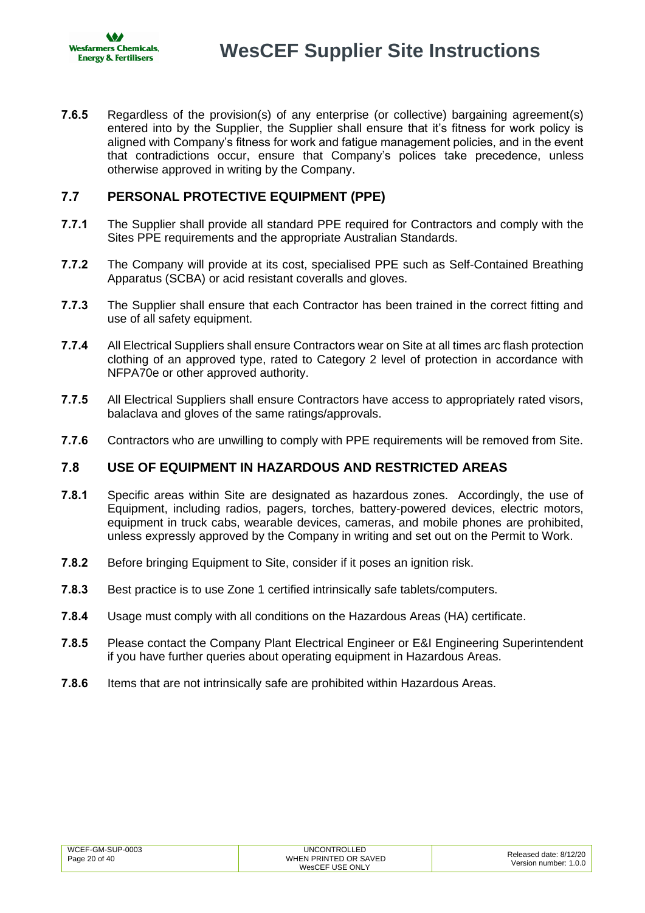

**7.6.5** Regardless of the provision(s) of any enterprise (or collective) bargaining agreement(s) entered into by the Supplier, the Supplier shall ensure that it's fitness for work policy is aligned with Company's fitness for work and fatigue management policies, and in the event that contradictions occur, ensure that Company's polices take precedence, unless otherwise approved in writing by the Company.

# <span id="page-19-0"></span>**7.7 PERSONAL PROTECTIVE EQUIPMENT (PPE)**

- **7.7.1** The Supplier shall provide all standard PPE required for Contractors and comply with the Sites PPE requirements and the appropriate Australian Standards.
- **7.7.2** The Company will provide at its cost, specialised PPE such as Self-Contained Breathing Apparatus (SCBA) or acid resistant coveralls and gloves.
- **7.7.3** The Supplier shall ensure that each Contractor has been trained in the correct fitting and use of all safety equipment.
- **7.7.4** All Electrical Suppliers shall ensure Contractors wear on Site at all times arc flash protection clothing of an approved type, rated to Category 2 level of protection in accordance with NFPA70e or other approved authority.
- **7.7.5** All Electrical Suppliers shall ensure Contractors have access to appropriately rated visors, balaclava and gloves of the same ratings/approvals.
- **7.7.6** Contractors who are unwilling to comply with PPE requirements will be removed from Site.

# <span id="page-19-1"></span>**7.8 USE OF EQUIPMENT IN HAZARDOUS AND RESTRICTED AREAS**

- **7.8.1** Specific areas within Site are designated as hazardous zones. Accordingly, the use of Equipment, including radios, pagers, torches, battery-powered devices, electric motors, equipment in truck cabs, wearable devices, cameras, and mobile phones are prohibited, unless expressly approved by the Company in writing and set out on the Permit to Work.
- **7.8.2** Before bringing Equipment to Site, consider if it poses an ignition risk.
- **7.8.3** Best practice is to use Zone 1 certified intrinsically safe tablets/computers.
- **7.8.4** Usage must comply with all conditions on the Hazardous Areas (HA) certificate.
- **7.8.5** Please contact the Company Plant Electrical Engineer or E&I Engineering Superintendent if you have further queries about operating equipment in Hazardous Areas.
- **7.8.6** Items that are not intrinsically safe are prohibited within Hazardous Areas.

| WCEF-GM-SUP-0003 | <b>UNCONTROLLED</b>   | Released date: 8/12/20 |
|------------------|-----------------------|------------------------|
| Page 20 of 40    | WHEN PRINTED OR SAVED | Version number: 1.0.0  |
|                  | WesCEF USE ONLY       |                        |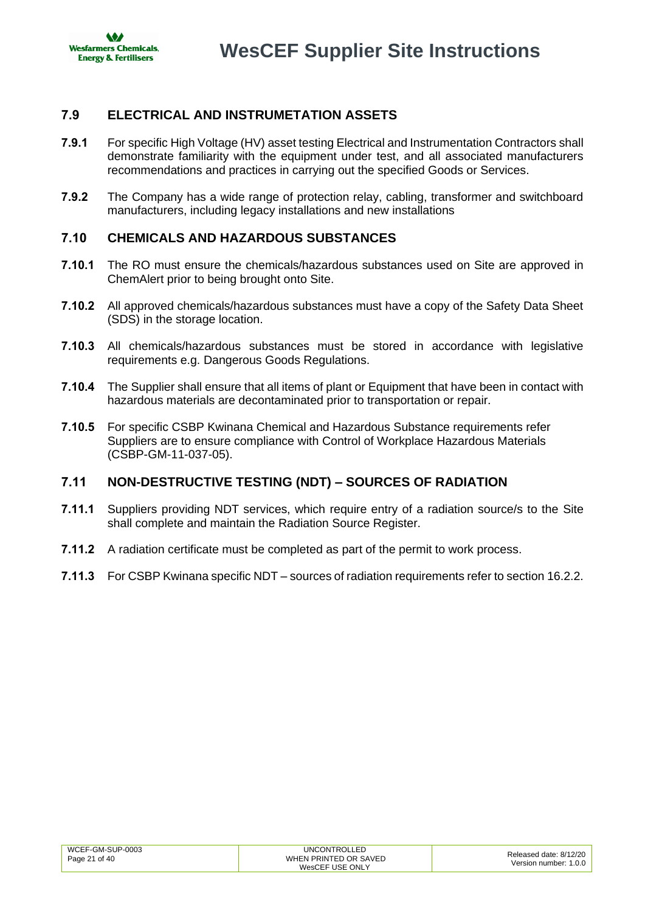

# <span id="page-20-0"></span>**7.9 ELECTRICAL AND INSTRUMETATION ASSETS**

- **7.9.1** For specific High Voltage (HV) asset testing Electrical and Instrumentation Contractors shall demonstrate familiarity with the equipment under test, and all associated manufacturers recommendations and practices in carrying out the specified Goods or Services.
- **7.9.2** The Company has a wide range of protection relay, cabling, transformer and switchboard manufacturers, including legacy installations and new installations

# <span id="page-20-1"></span>**7.10 CHEMICALS AND HAZARDOUS SUBSTANCES**

- **7.10.1** The RO must ensure the chemicals/hazardous substances used on Site are approved in ChemAlert prior to being brought onto Site.
- **7.10.2** All approved chemicals/hazardous substances must have a copy of the Safety Data Sheet (SDS) in the storage location.
- **7.10.3** All chemicals/hazardous substances must be stored in accordance with legislative requirements e.g. Dangerous Goods Regulations.
- **7.10.4** The Supplier shall ensure that all items of plant or Equipment that have been in contact with hazardous materials are decontaminated prior to transportation or repair.
- **7.10.5** For specific CSBP Kwinana Chemical and Hazardous Substance requirements refer Suppliers are to ensure compliance with Control of Workplace Hazardous Materials (CSBP-GM-11-037-05).

# <span id="page-20-2"></span>**7.11 NON-DESTRUCTIVE TESTING (NDT) – SOURCES OF RADIATION**

- **7.11.1** Suppliers providing NDT services, which require entry of a radiation source/s to the Site shall complete and maintain the Radiation Source Register.
- **7.11.2** A radiation certificate must be completed as part of the permit to work process.
- **7.11.3** For CSBP Kwinana specific NDT sources of radiation requirements refer to section [16.2.2.](#page-35-5)

| WCEF-GM-SUP-0003 | UNCONTROLLED          | Released date: 8/12/20 |
|------------------|-----------------------|------------------------|
| Page 21 of 40    | WHEN PRINTED OR SAVED | Version number: 1.0.0  |
|                  | WesCEF USE ONLY       |                        |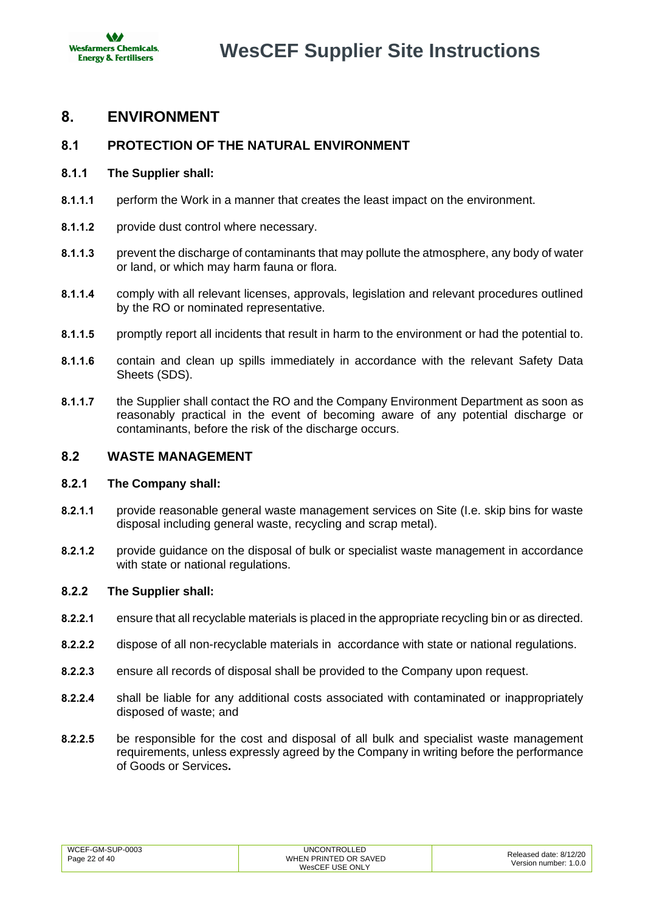

# <span id="page-21-0"></span>**8. ENVIRONMENT**

# <span id="page-21-1"></span>**8.1 PROTECTION OF THE NATURAL ENVIRONMENT**

### **8.1.1 The Supplier shall:**

- **8.1.1.1** perform the Work in a manner that creates the least impact on the environment.
- **8.1.1.2** provide dust control where necessary.
- **8.1.1.3** prevent the discharge of contaminants that may pollute the atmosphere, any body of water or land, or which may harm fauna or flora.
- **8.1.1.4** comply with all relevant licenses, approvals, legislation and relevant procedures outlined by the RO or nominated representative.
- **8.1.1.5** promptly report all incidents that result in harm to the environment or had the potential to.
- **8.1.1.6** contain and clean up spills immediately in accordance with the relevant Safety Data Sheets (SDS).
- **8.1.1.7** the Supplier shall contact the RO and the Company Environment Department as soon as reasonably practical in the event of becoming aware of any potential discharge or contaminants, before the risk of the discharge occurs.

# <span id="page-21-2"></span>**8.2 WASTE MANAGEMENT**

### **8.2.1 The Company shall:**

- **8.2.1.1** provide reasonable general waste management services on Site (I.e. skip bins for waste disposal including general waste, recycling and scrap metal).
- **8.2.1.2** provide guidance on the disposal of bulk or specialist waste management in accordance with state or national regulations.

### **8.2.2 The Supplier shall:**

- **8.2.2.1** ensure that all recyclable materials is placed in the appropriate recycling bin or as directed.
- **8.2.2.2** dispose of all non-recyclable materials in accordance with state or national regulations.
- **8.2.2.3** ensure all records of disposal shall be provided to the Company upon request.
- **8.2.2.4** shall be liable for any additional costs associated with contaminated or inappropriately disposed of waste; and
- **8.2.2.5** be responsible for the cost and disposal of all bulk and specialist waste management requirements, unless expressly agreed by the Company in writing before the performance of Goods or Services**.**

| WCEF-GM-SUP-0003 | <b>UNCONTROLLED</b>   | Released date: 8/12/20 |
|------------------|-----------------------|------------------------|
| Page 22 of 40    | WHEN PRINTED OR SAVED | Version number: 1.0.0  |
|                  | WesCEF USE ONLY       |                        |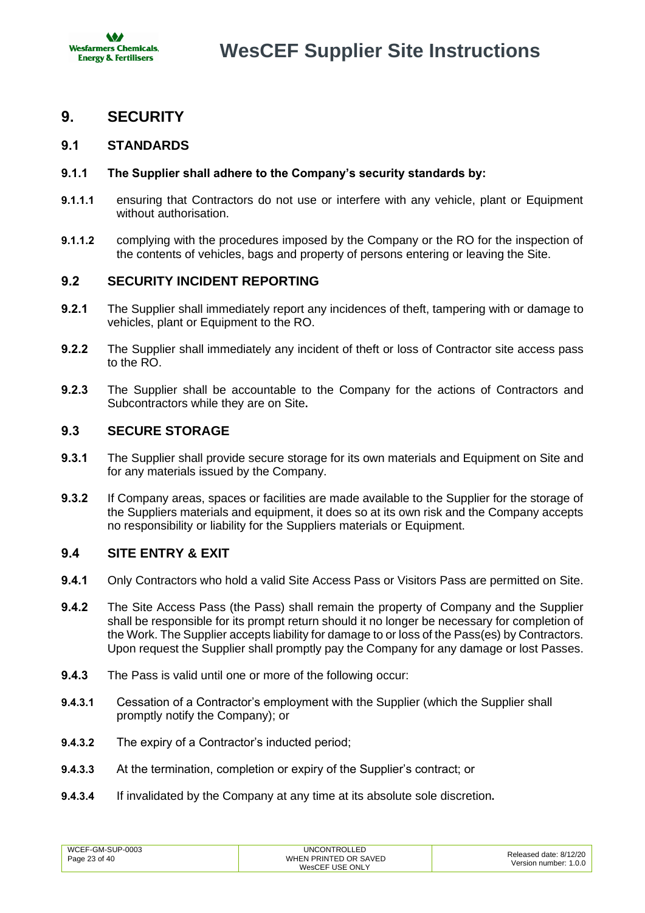

# <span id="page-22-0"></span>**9. SECURITY**

# <span id="page-22-1"></span>**9.1 STANDARDS**

### **9.1.1 The Supplier shall adhere to the Company's security standards by:**

- **9.1.1.1** ensuring that Contractors do not use or interfere with any vehicle, plant or Equipment without authorisation.
- **9.1.1.2** complying with the procedures imposed by the Company or the RO for the inspection of the contents of vehicles, bags and property of persons entering or leaving the Site.

# <span id="page-22-2"></span>**9.2 SECURITY INCIDENT REPORTING**

- **9.2.1** The Supplier shall immediately report any incidences of theft, tampering with or damage to vehicles, plant or Equipment to the RO.
- **9.2.2** The Supplier shall immediately any incident of theft or loss of Contractor site access pass to the RO.
- **9.2.3** The Supplier shall be accountable to the Company for the actions of Contractors and Subcontractors while they are on Site**.**

# <span id="page-22-3"></span>**9.3 SECURE STORAGE**

- **9.3.1** The Supplier shall provide secure storage for its own materials and Equipment on Site and for any materials issued by the Company.
- **9.3.2** If Company areas, spaces or facilities are made available to the Supplier for the storage of the Suppliers materials and equipment, it does so at its own risk and the Company accepts no responsibility or liability for the Suppliers materials or Equipment.

### <span id="page-22-4"></span>**9.4 SITE ENTRY & EXIT**

- **9.4.1** Only Contractors who hold a valid Site Access Pass or Visitors Pass are permitted on Site.
- **9.4.2** The Site Access Pass (the Pass) shall remain the property of Company and the Supplier shall be responsible for its prompt return should it no longer be necessary for completion of the Work. The Supplier accepts liability for damage to or loss of the Pass(es) by Contractors. Upon request the Supplier shall promptly pay the Company for any damage or lost Passes.
- **9.4.3** The Pass is valid until one or more of the following occur:
- **9.4.3.1** Cessation of a Contractor's employment with the Supplier (which the Supplier shall promptly notify the Company); or
- **9.4.3.2** The expiry of a Contractor's inducted period;
- **9.4.3.3** At the termination, completion or expiry of the Supplier's contract; or
- **9.4.3.4** If invalidated by the Company at any time at its absolute sole discretion**.**

| WCEF-GM-SUP-0003 | UNCONTROLLED          | Released date: 8/12/20 |
|------------------|-----------------------|------------------------|
| Page 23 of 40    | WHEN PRINTED OR SAVED |                        |
|                  | WesCEF USE ONLY       | Version number: 1.0.0  |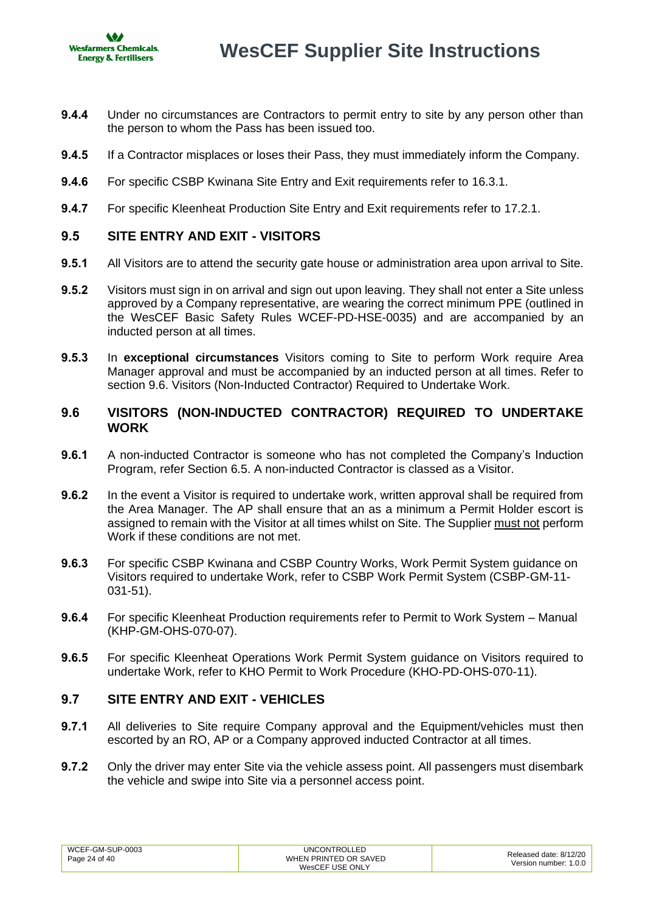

- **9.4.4** Under no circumstances are Contractors to permit entry to site by any person other than the person to whom the Pass has been issued too.
- **9.4.5** If a Contractor misplaces or loses their Pass, they must immediately inform the Company.
- **9.4.6** For specific CSBP Kwinana Site Entry and Exit requirements refer to [16.3.1.](#page-35-6)
- **9.4.7** For specific Kleenheat Production Site Entry and Exit requirements refer to [17.2.1.](#page-37-4)

### <span id="page-23-0"></span>**9.5 SITE ENTRY AND EXIT - VISITORS**

- **9.5.1** All Visitors are to attend the security gate house or administration area upon arrival to Site.
- **9.5.2** Visitors must sign in on arrival and sign out upon leaving. They shall not enter a Site unless approved by a Company representative, are wearing the correct minimum PPE (outlined in the WesCEF Basic Safety Rules WCEF-PD-HSE-0035) and are accompanied by an inducted person at all times.
- **9.5.3** In **exceptional circumstances** Visitors coming to Site to perform Work require Area Manager approval and must be accompanied by an inducted person at all times. Refer to section [9.6.](#page-23-1) Visitors (Non-Inducted Contractor) Required to Undertake Work.

# <span id="page-23-1"></span>**9.6 VISITORS (NON-INDUCTED CONTRACTOR) REQUIRED TO UNDERTAKE WORK**

- **9.6.1** A non-inducted Contractor is someone who has not completed the Company's Induction Program, refer Section [6.5.](#page-15-1) A non-inducted Contractor is classed as a Visitor.
- **9.6.2** In the event a Visitor is required to undertake work, written approval shall be required from the Area Manager. The AP shall ensure that an as a minimum a Permit Holder escort is assigned to remain with the Visitor at all times whilst on Site. The Supplier must not perform Work if these conditions are not met.
- **9.6.3** For specific CSBP Kwinana and CSBP Country Works, Work Permit System guidance on Visitors required to undertake Work, refer to CSBP Work Permit System (CSBP-GM-11- 031-51).
- **9.6.4** For specific Kleenheat Production requirements refer to Permit to Work System Manual (KHP-GM-OHS-070-07).
- **9.6.5** For specific Kleenheat Operations Work Permit System guidance on Visitors required to undertake Work, refer to KHO Permit to Work Procedure (KHO-PD-OHS-070-11).

# <span id="page-23-2"></span>**9.7 SITE ENTRY AND EXIT - VEHICLES**

- **9.7.1** All deliveries to Site require Company approval and the Equipment/vehicles must then escorted by an RO, AP or a Company approved inducted Contractor at all times.
- **9.7.2** Only the driver may enter Site via the vehicle assess point. All passengers must disembark the vehicle and swipe into Site via a personnel access point.

| WCEF-GM-SUP-0003 | UNCONTROLLED          | Released date: 8/12/20 |
|------------------|-----------------------|------------------------|
| Page 24 of 40    | WHEN PRINTED OR SAVED | Version number: 1.0.0  |
|                  | WesCEF USE ONLY       |                        |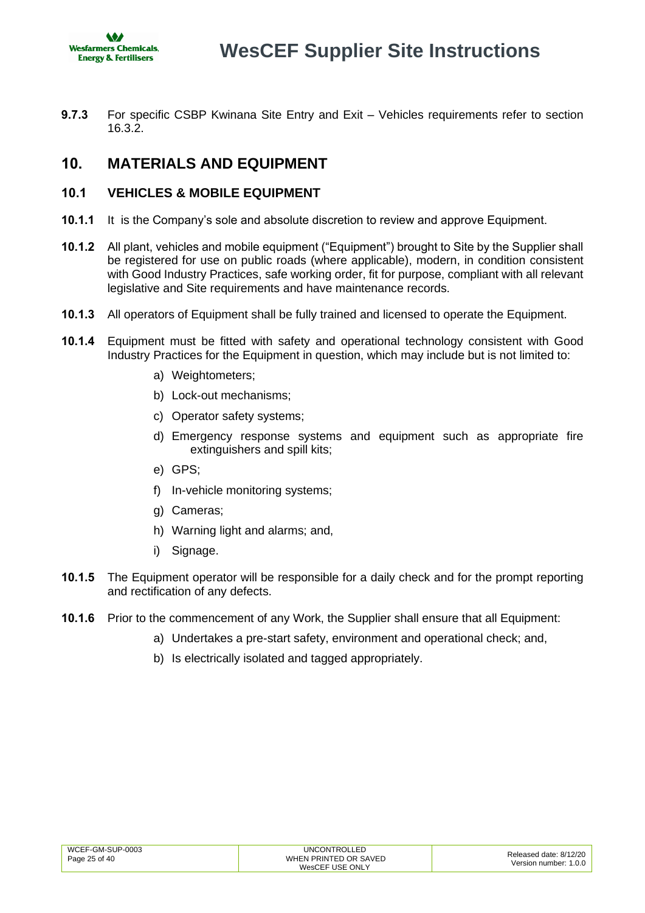

**9.7.3** For specific CSBP Kwinana Site Entry and Exit – Vehicles requirements refer to section [16.3.2.](#page-36-3)

# <span id="page-24-0"></span>**10. MATERIALS AND EQUIPMENT**

# <span id="page-24-1"></span>**10.1 VEHICLES & MOBILE EQUIPMENT**

- **10.1.1** It is the Company's sole and absolute discretion to review and approve Equipment.
- **10.1.2** All plant, vehicles and mobile equipment ("Equipment") brought to Site by the Supplier shall be registered for use on public roads (where applicable), modern, in condition consistent with Good Industry Practices, safe working order, fit for purpose, compliant with all relevant legislative and Site requirements and have maintenance records.
- **10.1.3** All operators of Equipment shall be fully trained and licensed to operate the Equipment.
- **10.1.4** Equipment must be fitted with safety and operational technology consistent with Good Industry Practices for the Equipment in question, which may include but is not limited to:
	- a) Weightometers;
	- b) Lock-out mechanisms;
	- c) Operator safety systems;
	- d) Emergency response systems and equipment such as appropriate fire extinguishers and spill kits;
	- e) GPS;
	- f) In-vehicle monitoring systems;
	- g) Cameras;
	- h) Warning light and alarms; and,
	- i) Signage.
- **10.1.5** The Equipment operator will be responsible for a daily check and for the prompt reporting and rectification of any defects.
- **10.1.6** Prior to the commencement of any Work, the Supplier shall ensure that all Equipment:
	- a) Undertakes a pre-start safety, environment and operational check; and,
	- b) Is electrically isolated and tagged appropriately.

| WCEF-GM-SUP-0003 | <b>UNCONTROLLED</b>   | Released date: 8/12/20 |
|------------------|-----------------------|------------------------|
| Page 25 of 40    | WHEN PRINTED OR SAVED | Version number: 1.0.0  |
|                  | WesCEF USE ONLY       |                        |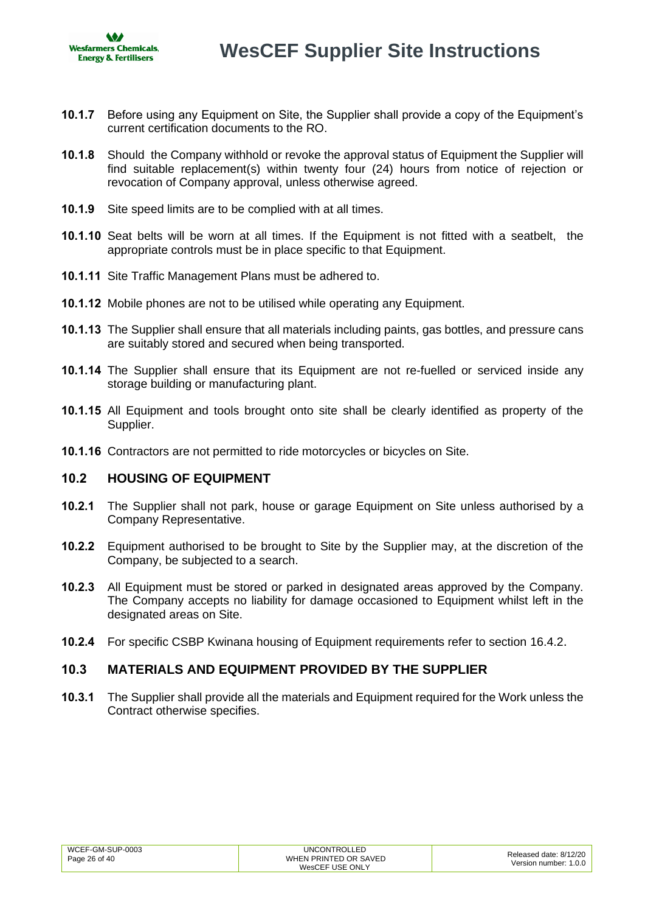

- **10.1.7** Before using any Equipment on Site, the Supplier shall provide a copy of the Equipment's current certification documents to the RO.
- **10.1.8** Should the Company withhold or revoke the approval status of Equipment the Supplier will find suitable replacement(s) within twenty four (24) hours from notice of rejection or revocation of Company approval, unless otherwise agreed.
- **10.1.9** Site speed limits are to be complied with at all times.
- **10.1.10** Seat belts will be worn at all times. If the Equipment is not fitted with a seatbelt, the appropriate controls must be in place specific to that Equipment.
- **10.1.11** Site Traffic Management Plans must be adhered to.
- **10.1.12** Mobile phones are not to be utilised while operating any Equipment.
- **10.1.13** The Supplier shall ensure that all materials including paints, gas bottles, and pressure cans are suitably stored and secured when being transported.
- **10.1.14** The Supplier shall ensure that its Equipment are not re-fuelled or serviced inside any storage building or manufacturing plant.
- **10.1.15** All Equipment and tools brought onto site shall be clearly identified as property of the Supplier.
- **10.1.16** Contractors are not permitted to ride motorcycles or bicycles on Site.

### <span id="page-25-0"></span>**10.2 HOUSING OF EQUIPMENT**

- **10.2.1** The Supplier shall not park, house or garage Equipment on Site unless authorised by a Company Representative.
- **10.2.2** Equipment authorised to be brought to Site by the Supplier may, at the discretion of the Company, be subjected to a search.
- **10.2.3** All Equipment must be stored or parked in designated areas approved by the Company. The Company accepts no liability for damage occasioned to Equipment whilst left in the designated areas on Site.
- **10.2.4** For specific CSBP Kwinana housing of Equipment requirements refer to section [16.4.2](#page-36-4).

### <span id="page-25-1"></span>**10.3 MATERIALS AND EQUIPMENT PROVIDED BY THE SUPPLIER**

**10.3.1** The Supplier shall provide all the materials and Equipment required for the Work unless the Contract otherwise specifies.

| WCEF-GM-SUP-0003 | <b>UNCONTROLLED</b>   | Released date: 8/12/20 |
|------------------|-----------------------|------------------------|
| Page 26 of 40    | WHEN PRINTED OR SAVED | Version number: 1.0.0  |
|                  | WesCEF USE ONLY       |                        |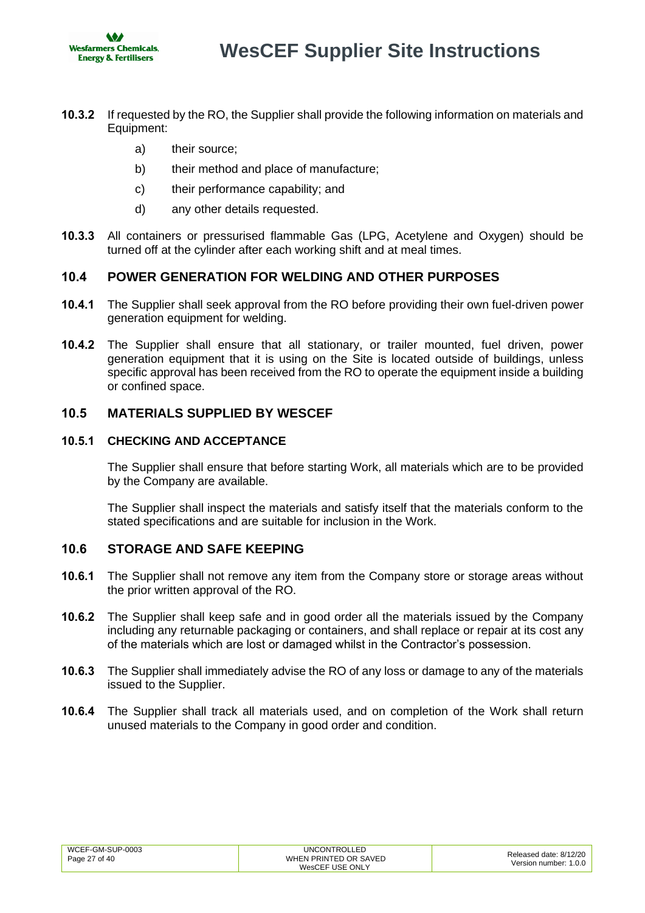

- **10.3.2** If requested by the RO, the Supplier shall provide the following information on materials and Equipment:
	- a) their source;
	- b) their method and place of manufacture;
	- c) their performance capability; and
	- d) any other details requested.
- **10.3.3** All containers or pressurised flammable Gas (LPG, Acetylene and Oxygen) should be turned off at the cylinder after each working shift and at meal times.

# <span id="page-26-0"></span>**10.4 POWER GENERATION FOR WELDING AND OTHER PURPOSES**

- **10.4.1** The Supplier shall seek approval from the RO before providing their own fuel-driven power generation equipment for welding.
- **10.4.2** The Supplier shall ensure that all stationary, or trailer mounted, fuel driven, power generation equipment that it is using on the Site is located outside of buildings, unless specific approval has been received from the RO to operate the equipment inside a building or confined space.

# <span id="page-26-1"></span>**10.5 MATERIALS SUPPLIED BY WESCEF**

### **10.5.1 CHECKING AND ACCEPTANCE**

The Supplier shall ensure that before starting Work, all materials which are to be provided by the Company are available.

The Supplier shall inspect the materials and satisfy itself that the materials conform to the stated specifications and are suitable for inclusion in the Work.

# <span id="page-26-2"></span>**10.6 STORAGE AND SAFE KEEPING**

- **10.6.1** The Supplier shall not remove any item from the Company store or storage areas without the prior written approval of the RO.
- **10.6.2** The Supplier shall keep safe and in good order all the materials issued by the Company including any returnable packaging or containers, and shall replace or repair at its cost any of the materials which are lost or damaged whilst in the Contractor's possession.
- **10.6.3** The Supplier shall immediately advise the RO of any loss or damage to any of the materials issued to the Supplier.
- **10.6.4** The Supplier shall track all materials used, and on completion of the Work shall return unused materials to the Company in good order and condition.

| WCEF-GM-SUP-0003 | <b>UNCONTROLLED</b>   | Released date: 8/12/20 |
|------------------|-----------------------|------------------------|
| Page 27 of 40    | WHEN PRINTED OR SAVED | Version number: 1.0.0  |
|                  | WesCEF USE ONLY       |                        |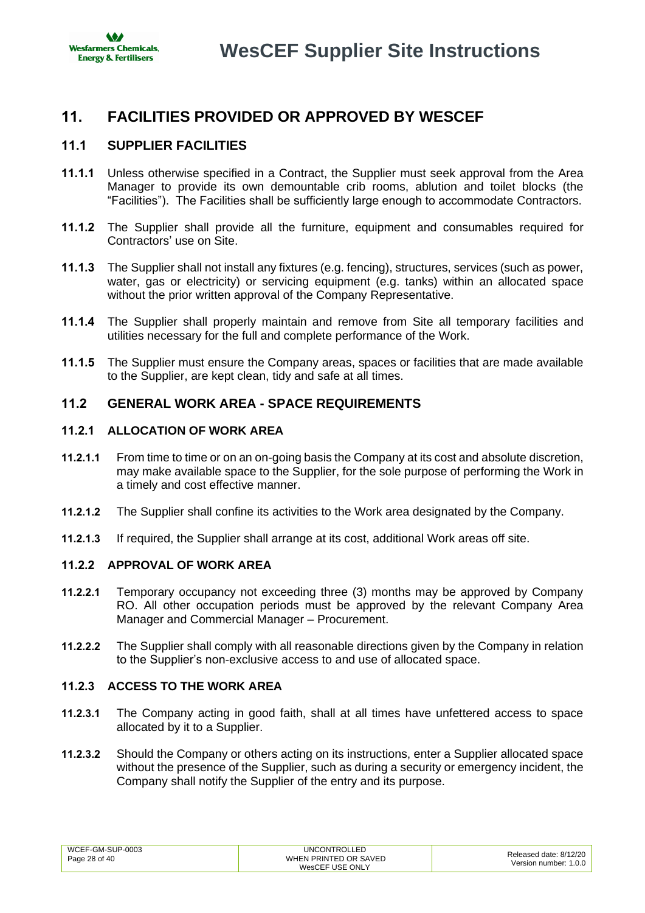

# <span id="page-27-0"></span>**11. FACILITIES PROVIDED OR APPROVED BY WESCEF**

# <span id="page-27-1"></span>**11.1 SUPPLIER FACILITIES**

- **11.1.1** Unless otherwise specified in a Contract, the Supplier must seek approval from the Area Manager to provide its own demountable crib rooms, ablution and toilet blocks (the "Facilities"). The Facilities shall be sufficiently large enough to accommodate Contractors.
- **11.1.2** The Supplier shall provide all the furniture, equipment and consumables required for Contractors' use on Site.
- **11.1.3** The Supplier shall not install any fixtures (e.g. fencing), structures, services (such as power, water, gas or electricity) or servicing equipment (e.g. tanks) within an allocated space without the prior written approval of the Company Representative.
- **11.1.4** The Supplier shall properly maintain and remove from Site all temporary facilities and utilities necessary for the full and complete performance of the Work.
- **11.1.5** The Supplier must ensure the Company areas, spaces or facilities that are made available to the Supplier, are kept clean, tidy and safe at all times.

### <span id="page-27-2"></span>**11.2 GENERAL WORK AREA - SPACE REQUIREMENTS**

### **11.2.1 ALLOCATION OF WORK AREA**

- **11.2.1.1** From time to time or on an on-going basis the Company at its cost and absolute discretion, may make available space to the Supplier, for the sole purpose of performing the Work in a timely and cost effective manner.
- **11.2.1.2** The Supplier shall confine its activities to the Work area designated by the Company.
- **11.2.1.3** If required, the Supplier shall arrange at its cost, additional Work areas off site.

### **11.2.2 APPROVAL OF WORK AREA**

- **11.2.2.1** Temporary occupancy not exceeding three (3) months may be approved by Company RO. All other occupation periods must be approved by the relevant Company Area Manager and Commercial Manager – Procurement.
- **11.2.2.2** The Supplier shall comply with all reasonable directions given by the Company in relation to the Supplier's non-exclusive access to and use of allocated space.

### **11.2.3 ACCESS TO THE WORK AREA**

- **11.2.3.1** The Company acting in good faith, shall at all times have unfettered access to space allocated by it to a Supplier.
- **11.2.3.2** Should the Company or others acting on its instructions, enter a Supplier allocated space without the presence of the Supplier, such as during a security or emergency incident, the Company shall notify the Supplier of the entry and its purpose.

| WCEF-GM-SUP-0003 | <b>UNCONTROLLED</b>   | Released date: 8/12/20 |
|------------------|-----------------------|------------------------|
| Page 28 of 40    | WHEN PRINTED OR SAVED | Version number: 1.0.0  |
|                  | WesCEF USE ONLY       |                        |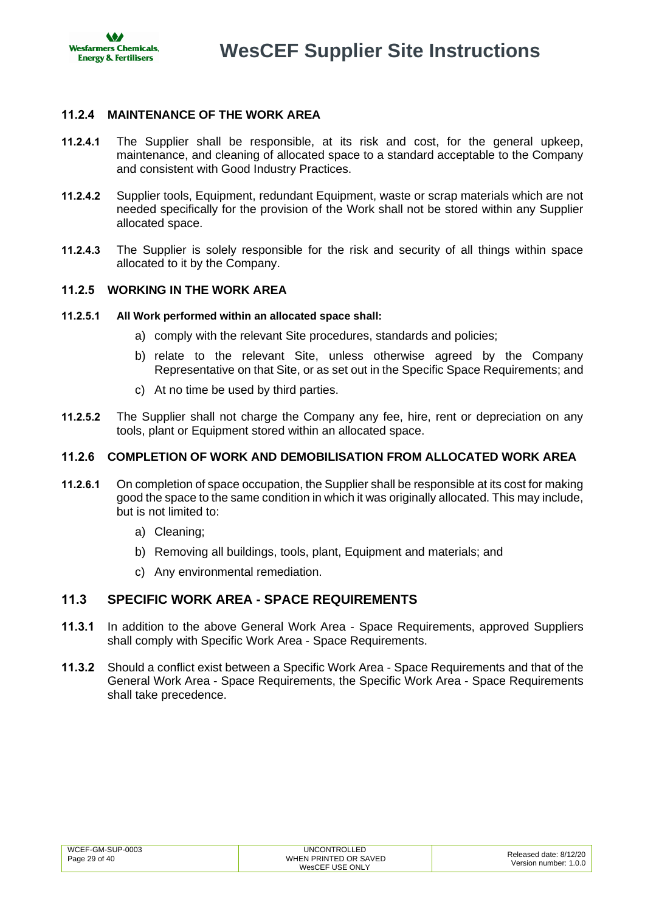**AGA Wesfarmers Chemicals, Energy & Fertilisers** 

**WesCEF Supplier Site Instructions**

### **11.2.4 MAINTENANCE OF THE WORK AREA**

- **11.2.4.1** The Supplier shall be responsible, at its risk and cost, for the general upkeep, maintenance, and cleaning of allocated space to a standard acceptable to the Company and consistent with Good Industry Practices.
- **11.2.4.2** Supplier tools, Equipment, redundant Equipment, waste or scrap materials which are not needed specifically for the provision of the Work shall not be stored within any Supplier allocated space.
- **11.2.4.3** The Supplier is solely responsible for the risk and security of all things within space allocated to it by the Company.

### **11.2.5 WORKING IN THE WORK AREA**

- **11.2.5.1 All Work performed within an allocated space shall:** 
	- a) comply with the relevant Site procedures, standards and policies;
	- b) relate to the relevant Site, unless otherwise agreed by the Company Representative on that Site, or as set out in the Specific Space Requirements; and
	- c) At no time be used by third parties.
- **11.2.5.2** The Supplier shall not charge the Company any fee, hire, rent or depreciation on any tools, plant or Equipment stored within an allocated space.

### **11.2.6 COMPLETION OF WORK AND DEMOBILISATION FROM ALLOCATED WORK AREA**

- **11.2.6.1** On completion of space occupation, the Supplier shall be responsible at its cost for making good the space to the same condition in which it was originally allocated. This may include, but is not limited to:
	- a) Cleaning;
	- b) Removing all buildings, tools, plant, Equipment and materials; and
	- c) Any environmental remediation.

### <span id="page-28-0"></span>**11.3 SPECIFIC WORK AREA - SPACE REQUIREMENTS**

- **11.3.1** In addition to the above General Work Area Space Requirements, approved Suppliers shall comply with Specific Work Area - Space Requirements.
- **11.3.2** Should a conflict exist between a Specific Work Area Space Requirements and that of the General Work Area - Space Requirements, the Specific Work Area - Space Requirements shall take precedence.

| WCEF-GM-SUP-0003 | <b>UNCONTROLLED</b>                      | Released date: 8/12/20 |
|------------------|------------------------------------------|------------------------|
| Page 29 of 40    | WHEN PRINTED OR SAVED<br>WesCEF USE ONLY | Version number: 1.0.0  |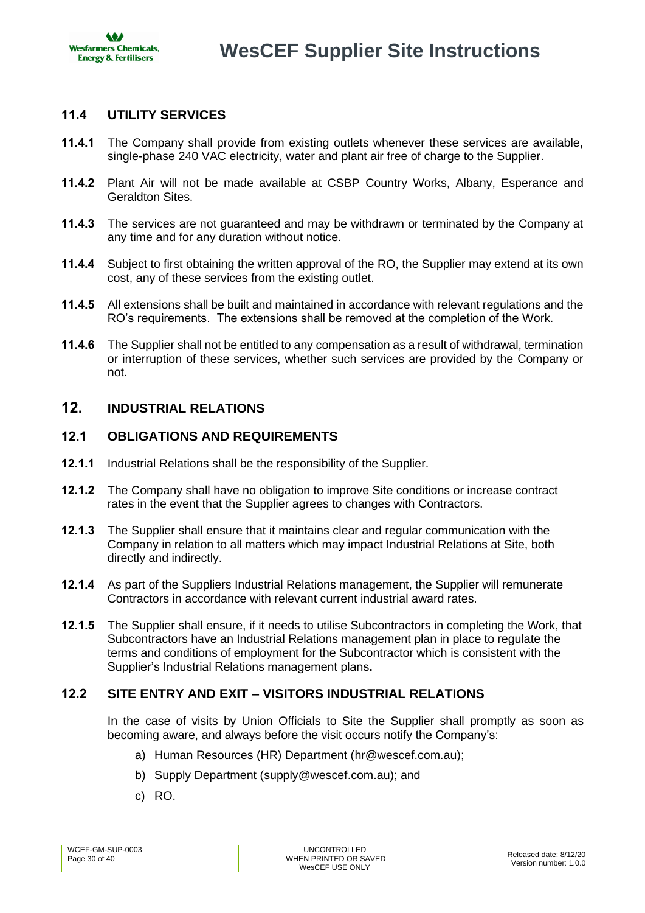

# <span id="page-29-0"></span>**11.4 UTILITY SERVICES**

- **11.4.1** The Company shall provide from existing outlets whenever these services are available, single-phase 240 VAC electricity, water and plant air free of charge to the Supplier.
- **11.4.2** Plant Air will not be made available at CSBP Country Works, Albany, Esperance and Geraldton Sites.
- **11.4.3** The services are not guaranteed and may be withdrawn or terminated by the Company at any time and for any duration without notice.
- **11.4.4** Subject to first obtaining the written approval of the RO, the Supplier may extend at its own cost, any of these services from the existing outlet.
- **11.4.5** All extensions shall be built and maintained in accordance with relevant regulations and the RO's requirements. The extensions shall be removed at the completion of the Work.
- **11.4.6** The Supplier shall not be entitled to any compensation as a result of withdrawal, termination or interruption of these services, whether such services are provided by the Company or not.

# <span id="page-29-1"></span>**12. INDUSTRIAL RELATIONS**

### <span id="page-29-2"></span>**12.1 OBLIGATIONS AND REQUIREMENTS**

- **12.1.1** Industrial Relations shall be the responsibility of the Supplier.
- **12.1.2** The Company shall have no obligation to improve Site conditions or increase contract rates in the event that the Supplier agrees to changes with Contractors.
- **12.1.3** The Supplier shall ensure that it maintains clear and regular communication with the Company in relation to all matters which may impact Industrial Relations at Site, both directly and indirectly.
- **12.1.4** As part of the Suppliers Industrial Relations management, the Supplier will remunerate Contractors in accordance with relevant current industrial award rates.
- **12.1.5** The Supplier shall ensure, if it needs to utilise Subcontractors in completing the Work, that Subcontractors have an Industrial Relations management plan in place to regulate the terms and conditions of employment for the Subcontractor which is consistent with the Supplier's Industrial Relations management plans**.**

# <span id="page-29-3"></span>**12.2 SITE ENTRY AND EXIT – VISITORS INDUSTRIAL RELATIONS**

In the case of visits by Union Officials to Site the Supplier shall promptly as soon as becoming aware, and always before the visit occurs notify the Company's:

- a) Human Resources (HR) Department [\(hr@wescef.com.au\)](mailto:hr@wescef.com.au);
- b) Supply Department [\(supply@wescef.com.au\)](mailto:supply@wescef.com.au); and
- c) RO.

| WCEF-GM-SUP-0003 | <b>UNCONTROLLED</b>   | Released date: 8/12/20 |
|------------------|-----------------------|------------------------|
| Page 30 of 40    | WHEN PRINTED OR SAVED | Version number: 1.0.0  |
|                  | WesCEF USE ONLY       |                        |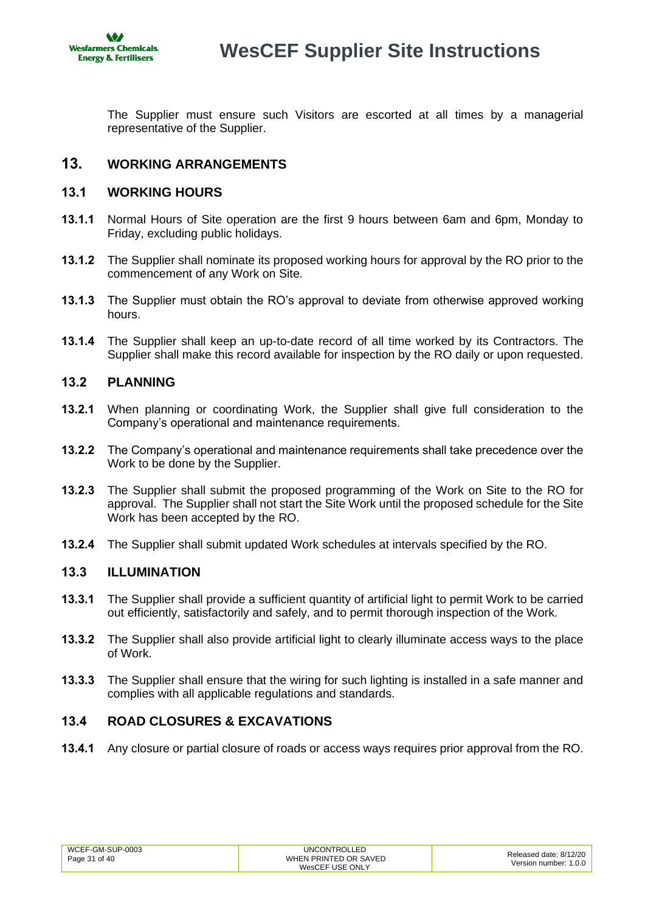

The Supplier must ensure such Visitors are escorted at all times by a managerial representative of the Supplier.

# <span id="page-30-0"></span>**13. WORKING ARRANGEMENTS**

# <span id="page-30-1"></span>**13.1 WORKING HOURS**

- **13.1.1** Normal Hours of Site operation are the first 9 hours between 6am and 6pm, Monday to Friday, excluding public holidays.
- **13.1.2** The Supplier shall nominate its proposed working hours for approval by the RO prior to the commencement of any Work on Site.
- **13.1.3** The Supplier must obtain the RO's approval to deviate from otherwise approved working hours.
- **13.1.4** The Supplier shall keep an up-to-date record of all time worked by its Contractors. The Supplier shall make this record available for inspection by the RO daily or upon requested.

### <span id="page-30-2"></span>**13.2 PLANNING**

- **13.2.1** When planning or coordinating Work, the Supplier shall give full consideration to the Company's operational and maintenance requirements.
- **13.2.2** The Company's operational and maintenance requirements shall take precedence over the Work to be done by the Supplier.
- **13.2.3** The Supplier shall submit the proposed programming of the Work on Site to the RO for approval. The Supplier shall not start the Site Work until the proposed schedule for the Site Work has been accepted by the RO.
- **13.2.4** The Supplier shall submit updated Work schedules at intervals specified by the RO.

### <span id="page-30-3"></span>**13.3 ILLUMINATION**

- **13.3.1** The Supplier shall provide a sufficient quantity of artificial light to permit Work to be carried out efficiently, satisfactorily and safely, and to permit thorough inspection of the Work.
- **13.3.2** The Supplier shall also provide artificial light to clearly illuminate access ways to the place of Work.
- **13.3.3** The Supplier shall ensure that the wiring for such lighting is installed in a safe manner and complies with all applicable regulations and standards.

### <span id="page-30-4"></span>**13.4 ROAD CLOSURES & EXCAVATIONS**

**13.4.1** Any closure or partial closure of roads or access ways requires prior approval from the RO.

| WCEF-GM-SUP-0003 | UNCONTROLLED          | Released date: 8/12/20 |
|------------------|-----------------------|------------------------|
| Page 31 of 40    | WHEN PRINTED OR SAVED |                        |
|                  | WesCEF USE ONLY       | Version number: 1.0.0  |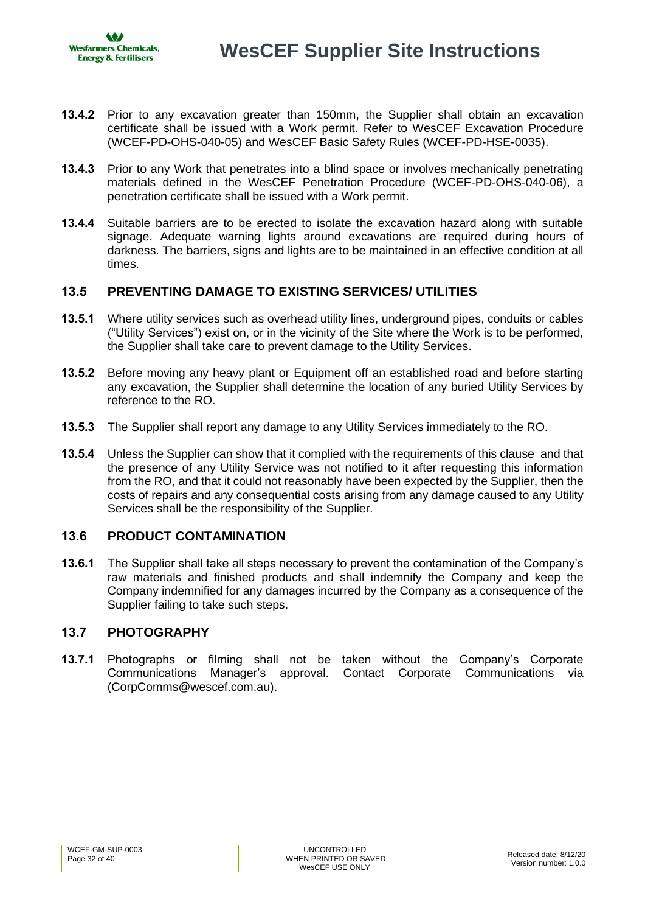- **13.4.2** Prior to any excavation greater than 150mm, the Supplier shall obtain an excavation certificate shall be issued with a Work permit. Refer to WesCEF Excavation Procedure (WCEF-PD-OHS-040-05) and WesCEF Basic Safety Rules (WCEF-PD-HSE-0035).
- **13.4.3** Prior to any Work that penetrates into a blind space or involves mechanically penetrating materials defined in the WesCEF Penetration Procedure (WCEF-PD-OHS-040-06), a penetration certificate shall be issued with a Work permit.
- **13.4.4** Suitable barriers are to be erected to isolate the excavation hazard along with suitable signage. Adequate warning lights around excavations are required during hours of darkness. The barriers, signs and lights are to be maintained in an effective condition at all times.

# <span id="page-31-0"></span>**13.5 PREVENTING DAMAGE TO EXISTING SERVICES/ UTILITIES**

- **13.5.1** Where utility services such as overhead utility lines, underground pipes, conduits or cables ("Utility Services") exist on, or in the vicinity of the Site where the Work is to be performed, the Supplier shall take care to prevent damage to the Utility Services.
- **13.5.2** Before moving any heavy plant or Equipment off an established road and before starting any excavation, the Supplier shall determine the location of any buried Utility Services by reference to the RO.
- **13.5.3** The Supplier shall report any damage to any Utility Services immediately to the RO.
- **13.5.4** Unless the Supplier can show that it complied with the requirements of this clause and that the presence of any Utility Service was not notified to it after requesting this information from the RO, and that it could not reasonably have been expected by the Supplier, then the costs of repairs and any consequential costs arising from any damage caused to any Utility Services shall be the responsibility of the Supplier.

### <span id="page-31-1"></span>**13.6 PRODUCT CONTAMINATION**

**13.6.1** The Supplier shall take all steps necessary to prevent the contamination of the Company's raw materials and finished products and shall indemnify the Company and keep the Company indemnified for any damages incurred by the Company as a consequence of the Supplier failing to take such steps.

### <span id="page-31-2"></span>**13.7 PHOTOGRAPHY**

**13.7.1** Photographs or filming shall not be taken without the Company's Corporate Communications Manager's approval. Contact Corporate Communications via [\(CorpComms@wescef.com.au\)](mailto:CorpComms@wescef.com.au).

| WHEN PRINTED OR SAVED<br>Page 32 of 40<br>WesCEF USE ONLY |
|-----------------------------------------------------------|
|-----------------------------------------------------------|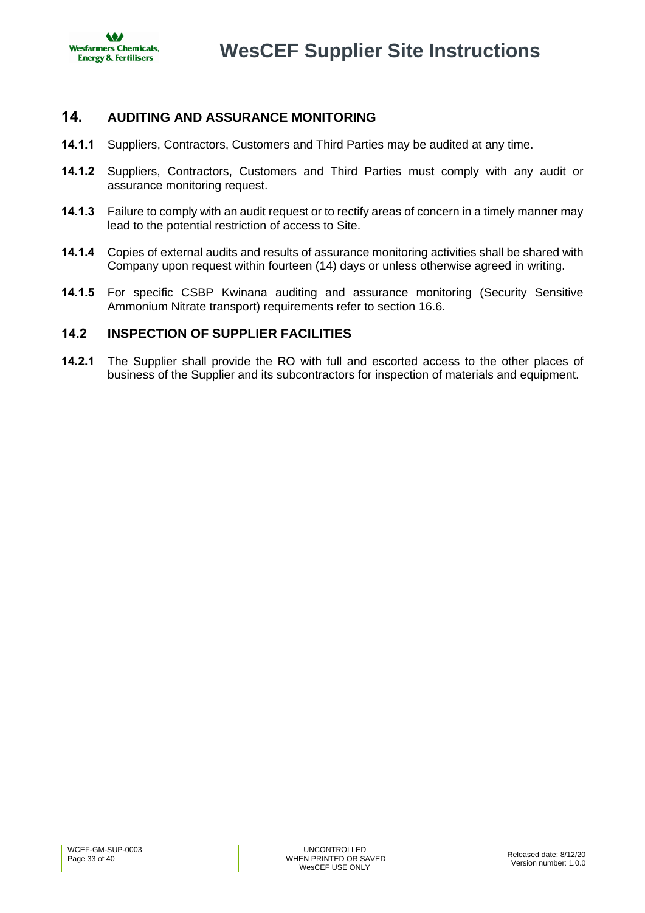

# <span id="page-32-0"></span>**14. AUDITING AND ASSURANCE MONITORING**

- **14.1.1** Suppliers, Contractors, Customers and Third Parties may be audited at any time.
- **14.1.2** Suppliers, Contractors, Customers and Third Parties must comply with any audit or assurance monitoring request.
- **14.1.3** Failure to comply with an audit request or to rectify areas of concern in a timely manner may lead to the potential restriction of access to Site.
- **14.1.4** Copies of external audits and results of assurance monitoring activities shall be shared with Company upon request within fourteen (14) days or unless otherwise agreed in writing.
- **14.1.5** For specific CSBP Kwinana auditing and assurance monitoring (Security Sensitive Ammonium Nitrate transport) requirements refer to section [16.6.](#page-36-2)

# <span id="page-32-1"></span>**14.2 INSPECTION OF SUPPLIER FACILITIES**

**14.2.1** The Supplier shall provide the RO with full and escorted access to the other places of business of the Supplier and its subcontractors for inspection of materials and equipment.

| WCEF-GM-SUP-0003 | <b>UNCONTROLLED</b>   | Released date: 8/12/20 |
|------------------|-----------------------|------------------------|
| Page 33 of 40    | WHEN PRINTED OR SAVED |                        |
|                  | WesCEF USE ONLY       | Version number: 1.0.0  |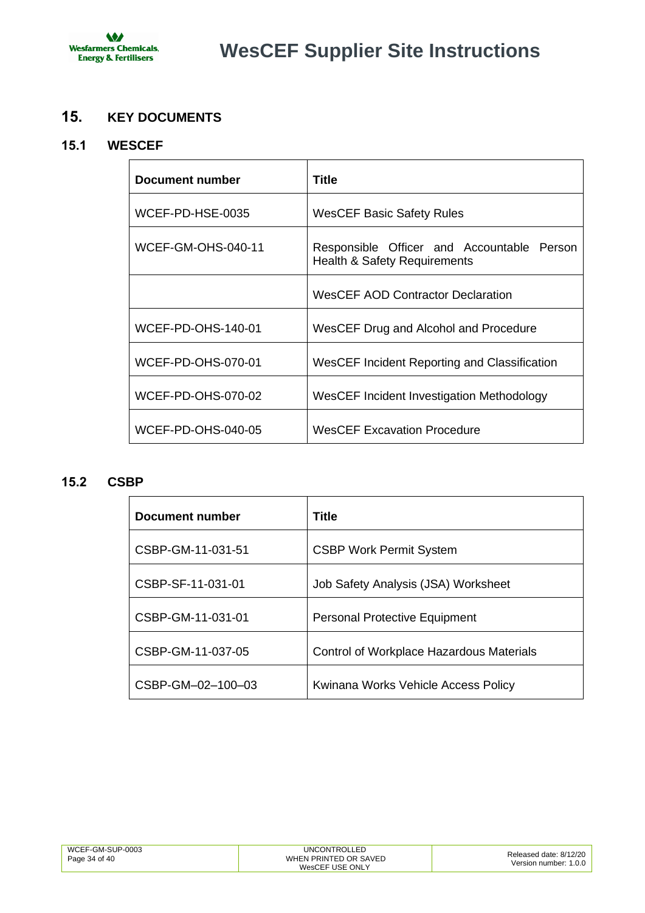

# <span id="page-33-0"></span>**15. KEY DOCUMENTS**

# <span id="page-33-1"></span>**15.1 WESCEF**

| Document number           | Title                                                                                 |  |
|---------------------------|---------------------------------------------------------------------------------------|--|
| WCEF-PD-HSE-0035          | <b>WesCEF Basic Safety Rules</b>                                                      |  |
| <b>WCEF-GM-OHS-040-11</b> | Responsible Officer and Accountable Person<br><b>Health &amp; Safety Requirements</b> |  |
|                           | <b>WesCEF AOD Contractor Declaration</b>                                              |  |
| <b>WCEF-PD-OHS-140-01</b> | WesCEF Drug and Alcohol and Procedure                                                 |  |
| <b>WCEF-PD-OHS-070-01</b> | WesCEF Incident Reporting and Classification                                          |  |
| <b>WCEF-PD-OHS-070-02</b> | WesCEF Incident Investigation Methodology                                             |  |
| <b>WCEF-PD-OHS-040-05</b> | <b>WesCEF Excavation Procedure</b>                                                    |  |

# <span id="page-33-2"></span>**15.2 CSBP**

| Document number   | Title                                           |
|-------------------|-------------------------------------------------|
| CSBP-GM-11-031-51 | <b>CSBP Work Permit System</b>                  |
| CSBP-SF-11-031-01 | Job Safety Analysis (JSA) Worksheet             |
| CSBP-GM-11-031-01 | <b>Personal Protective Equipment</b>            |
| CSBP-GM-11-037-05 | <b>Control of Workplace Hazardous Materials</b> |
| CSBP-GM-02-100-03 | Kwinana Works Vehicle Access Policy             |

| WCEF-GM-SUP-0003<br>JNC (<br>ONTROI I<br>WHEN PRINTED OR SAVED<br>Page 34 of 40<br>WesCEF USE ONLY | Released date: 8/12/20<br>Version number: 1.0.0 |
|----------------------------------------------------------------------------------------------------|-------------------------------------------------|
|----------------------------------------------------------------------------------------------------|-------------------------------------------------|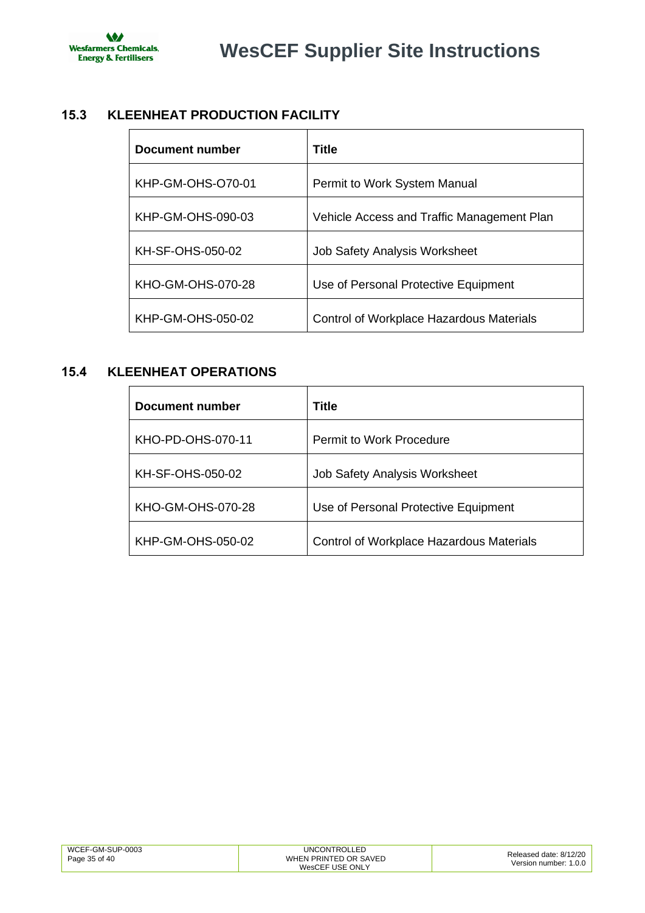

# <span id="page-34-0"></span>**15.3 KLEENHEAT PRODUCTION FACILITY**

| Document number   | Title                                           |
|-------------------|-------------------------------------------------|
| KHP-GM-OHS-O70-01 | Permit to Work System Manual                    |
| KHP-GM-OHS-090-03 | Vehicle Access and Traffic Management Plan      |
| KH-SF-OHS-050-02  | <b>Job Safety Analysis Worksheet</b>            |
| KHO-GM-OHS-070-28 | Use of Personal Protective Equipment            |
| KHP-GM-OHS-050-02 | <b>Control of Workplace Hazardous Materials</b> |

# <span id="page-34-1"></span>**15.4 KLEENHEAT OPERATIONS**

| Document number   | Title                                    |
|-------------------|------------------------------------------|
| KHO-PD-OHS-070-11 | <b>Permit to Work Procedure</b>          |
| KH-SF-OHS-050-02  | <b>Job Safety Analysis Worksheet</b>     |
| KHO-GM-OHS-070-28 | Use of Personal Protective Equipment     |
| KHP-GM-OHS-050-02 | Control of Workplace Hazardous Materials |

| WCEF-GM-SUP-0003 | <b>UNCONTROLLED</b>   | Released date: 8/12/20 |
|------------------|-----------------------|------------------------|
| Page 35 of 40    | WHEN PRINTED OR SAVED | Version number: 1.0.0  |
|                  | WesCEF USE ONLY       |                        |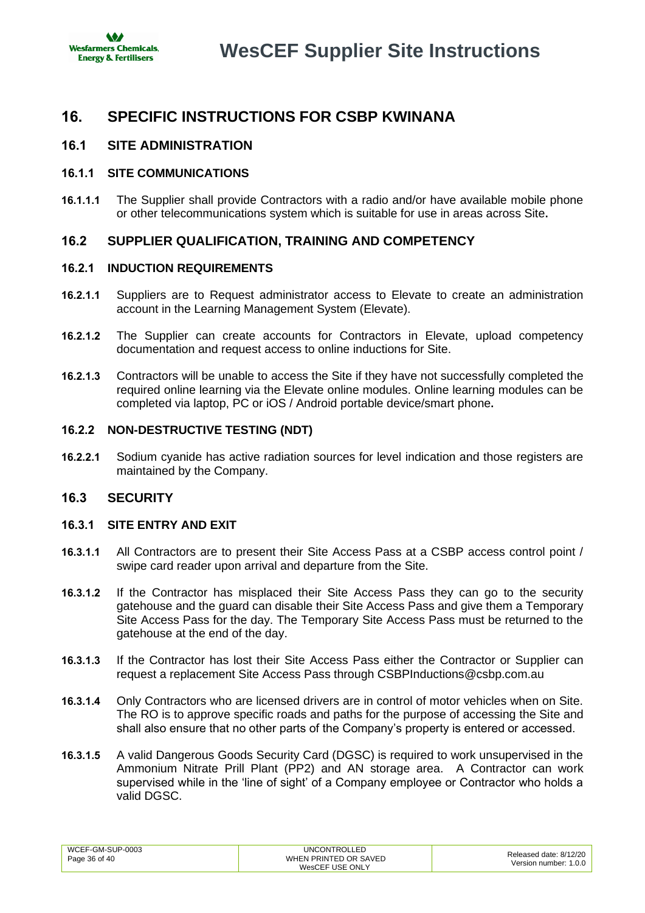

# <span id="page-35-0"></span>**16. SPECIFIC INSTRUCTIONS FOR CSBP KWINANA**

# <span id="page-35-1"></span>**16.1 SITE ADMINISTRATION**

### **16.1.1 SITE COMMUNICATIONS**

**16.1.1.1** The Supplier shall provide Contractors with a radio and/or have available mobile phone or other telecommunications system which is suitable for use in areas across Site**.**

# <span id="page-35-2"></span>**16.2 SUPPLIER QUALIFICATION, TRAINING AND COMPETENCY**

### <span id="page-35-4"></span>**16.2.1 INDUCTION REQUIREMENTS**

- **16.2.1.1** Suppliers are to [Request administrator access to Elevate](https://forms.office.com/Pages/ResponsePage.aspx?id=ApYfZvqM6kSOiv3842KMJ6bdOsbuZ0xCrHitd95kXg1UNkZZTEJDQzlaQ1JDSTFJVjAzNjEzNFhBRS4u) to create an administration account in the Learning Management System (Elevate).
- **16.2.1.2** The Supplier can create accounts for Contractors in Elevate, upload competency documentation and [request access to online inductions](http://www.wescef.com.au/wescef-inductions) for Site.
- **16.2.1.3** Contractors will be unable to access the Site if they have not successfully completed the required online learning via the Elevate online modules. Online learning modules can be completed via laptop, PC or iOS / Android portable device/smart phone**.**

### <span id="page-35-5"></span>**16.2.2 NON-DESTRUCTIVE TESTING (NDT)**

**16.2.2.1** Sodium cyanide has active radiation sources for level indication and those registers are maintained by the Company.

### <span id="page-35-3"></span>**16.3 SECURITY**

### <span id="page-35-6"></span>**16.3.1 SITE ENTRY AND EXIT**

- **16.3.1.1** All Contractors are to present their Site Access Pass at a CSBP access control point / swipe card reader upon arrival and departure from the Site.
- **16.3.1.2** If the Contractor has misplaced their Site Access Pass they can go to the security gatehouse and the guard can disable their Site Access Pass and give them a Temporary Site Access Pass for the day. The Temporary Site Access Pass must be returned to the gatehouse at the end of the day.
- **16.3.1.3** If the Contractor has lost their Site Access Pass either the Contractor or Supplier can request a replacement Site Access Pass through CSBPInductions@csbp.com.au
- **16.3.1.4** Only Contractors who are licensed drivers are in control of motor vehicles when on Site. The RO is to approve specific roads and paths for the purpose of accessing the Site and shall also ensure that no other parts of the Company's property is entered or accessed.
- **16.3.1.5** A valid Dangerous Goods Security Card (DGSC) is required to work unsupervised in the Ammonium Nitrate Prill Plant (PP2) and AN storage area. A Contractor can work supervised while in the 'line of sight' of a Company employee or Contractor who holds a valid DGSC.

| WCEF-GM-SUP-0003 | <b>UNCONTROLLED</b>   | Released date: 8/12/20 |
|------------------|-----------------------|------------------------|
| Page 36 of 40    | WHEN PRINTED OR SAVED | Version number: 1.0.0  |
|                  | WesCEF USE ONLY       |                        |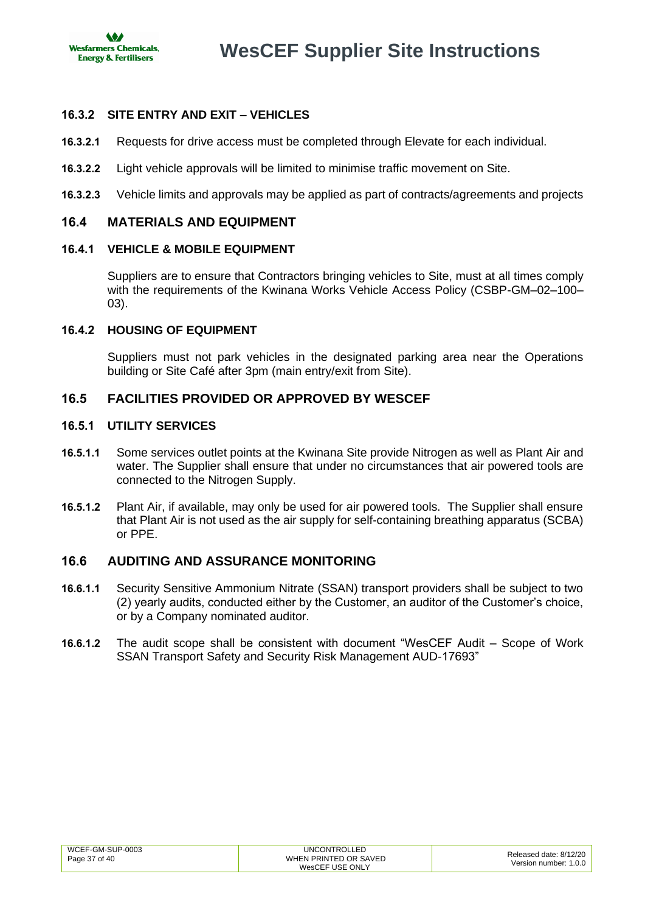

# <span id="page-36-3"></span>**16.3.2 SITE ENTRY AND EXIT – VEHICLES**

- **16.3.2.1** Requests for drive access must be completed through Elevate for each individual.
- **16.3.2.2** Light vehicle approvals will be limited to minimise traffic movement on Site.
- **16.3.2.3** Vehicle limits and approvals may be applied as part of contracts/agreements and projects

### <span id="page-36-0"></span>**16.4 MATERIALS AND EQUIPMENT**

### **16.4.1 VEHICLE & MOBILE EQUIPMENT**

Suppliers are to ensure that Contractors bringing vehicles to Site, must at all times comply with the requirements of the Kwinana Works Vehicle Access Policy (CSBP-GM–02–100– 03).

### <span id="page-36-4"></span>**16.4.2 HOUSING OF EQUIPMENT**

Suppliers must not park vehicles in the designated parking area near the Operations building or Site Café after 3pm (main entry/exit from Site).

# <span id="page-36-1"></span>**16.5 FACILITIES PROVIDED OR APPROVED BY WESCEF**

### **16.5.1 UTILITY SERVICES**

- **16.5.1.1** Some services outlet points at the Kwinana Site provide Nitrogen as well as Plant Air and water. The Supplier shall ensure that under no circumstances that air powered tools are connected to the Nitrogen Supply.
- **16.5.1.2** Plant Air, if available, may only be used for air powered tools. The Supplier shall ensure that Plant Air is not used as the air supply for self-containing breathing apparatus (SCBA) or PPE.

### <span id="page-36-2"></span>**16.6 AUDITING AND ASSURANCE MONITORING**

- **16.6.1.1** Security Sensitive Ammonium Nitrate (SSAN) transport providers shall be subject to two (2) yearly audits, conducted either by the Customer, an auditor of the Customer's choice, or by a Company nominated auditor.
- **16.6.1.2** The audit scope shall be consistent with document "WesCEF Audit Scope of Work SSAN Transport Safety and Security Risk Management AUD-17693"

| WCEF-GM-SUP-0003 | UNCONTROLLED          | Released date: 8/12/20 |
|------------------|-----------------------|------------------------|
| Page 37 of 40    | WHEN PRINTED OR SAVED | Version number: 1.0.0  |
|                  | WesCEF USE ONLY       |                        |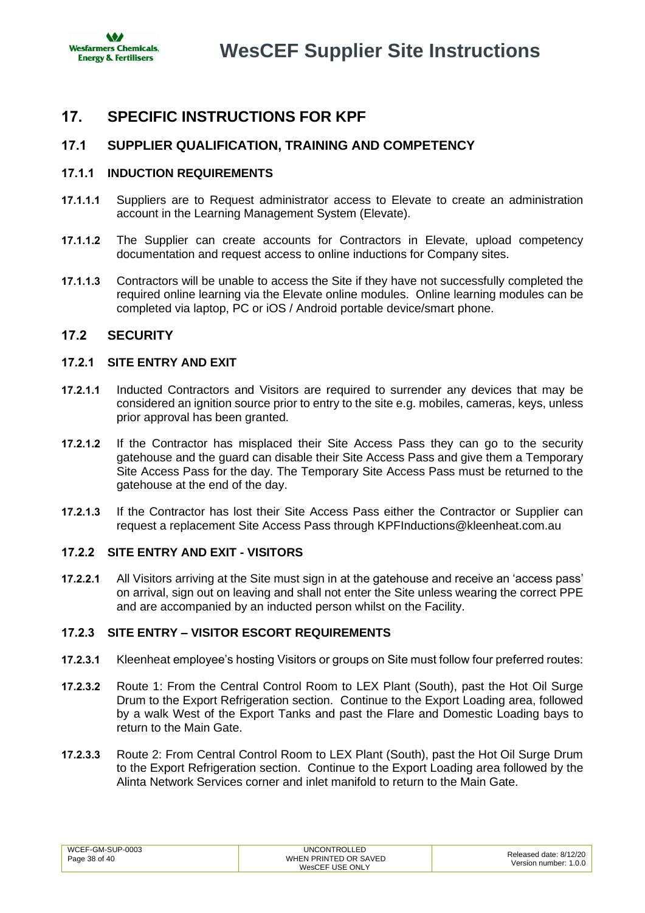

# <span id="page-37-0"></span>**17. SPECIFIC INSTRUCTIONS FOR KPF**

# <span id="page-37-1"></span>**17.1 SUPPLIER QUALIFICATION, TRAINING AND COMPETENCY**

### <span id="page-37-3"></span>**17.1.1 INDUCTION REQUIREMENTS**

- **17.1.1.1** Suppliers are to Request administrator access to Elevate to create an administration account in the Learning Management System (Elevate).
- **17.1.1.2** The Supplier can create accounts for Contractors in Elevate, upload competency documentation and request access to online inductions for Company sites.
- **17.1.1.3** Contractors will be unable to access the Site if they have not successfully completed the required online learning via the Elevate online modules. Online learning modules can be completed via laptop, PC or iOS / Android portable device/smart phone.

# <span id="page-37-2"></span>**17.2 SECURITY**

### <span id="page-37-4"></span>**17.2.1 SITE ENTRY AND EXIT**

- **17.2.1.1** Inducted Contractors and Visitors are required to surrender any devices that may be considered an ignition source prior to entry to the site e.g. mobiles, cameras, keys, unless prior approval has been granted.
- **17.2.1.2** If the Contractor has misplaced their Site Access Pass they can go to the security gatehouse and the guard can disable their Site Access Pass and give them a Temporary Site Access Pass for the day. The Temporary Site Access Pass must be returned to the gatehouse at the end of the day.
- **17.2.1.3** If the Contractor has lost their Site Access Pass either the Contractor or Supplier can request a replacement Site Access Pass through KPFInductions@kleenheat.com.au

### **17.2.2 SITE ENTRY AND EXIT - VISITORS**

**17.2.2.1** All Visitors arriving at the Site must sign in at the gatehouse and receive an 'access pass' on arrival, sign out on leaving and shall not enter the Site unless wearing the correct PPE and are accompanied by an inducted person whilst on the Facility.

### **17.2.3 SITE ENTRY – VISITOR ESCORT REQUIREMENTS**

- **17.2.3.1** Kleenheat employee's hosting Visitors or groups on Site must follow four preferred routes:
- **17.2.3.2** Route 1: From the Central Control Room to LEX Plant (South), past the Hot Oil Surge Drum to the Export Refrigeration section. Continue to the Export Loading area, followed by a walk West of the Export Tanks and past the Flare and Domestic Loading bays to return to the Main Gate.
- **17.2.3.3** Route 2: From Central Control Room to LEX Plant (South), past the Hot Oil Surge Drum to the Export Refrigeration section. Continue to the Export Loading area followed by the Alinta Network Services corner and inlet manifold to return to the Main Gate.

| WCEF-GM-SUP-0003 | <b>UNCONTROLLED</b>   | Released date: 8/12/20 |
|------------------|-----------------------|------------------------|
| Page 38 of 40    | WHEN PRINTED OR SAVED | Version number: 1.0.0  |
|                  | WesCEF USE ONLY       |                        |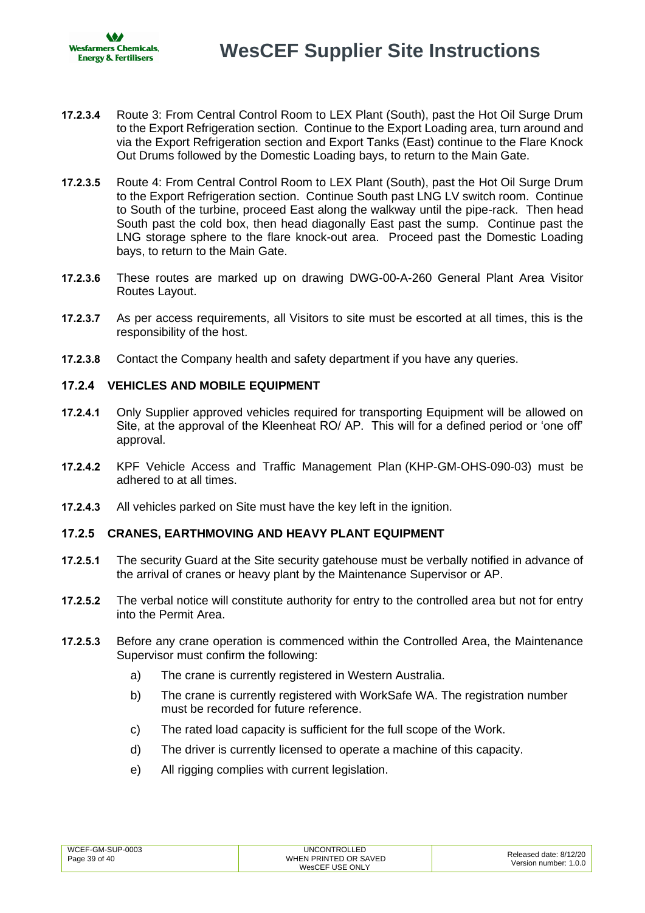- **17.2.3.4** Route 3: From Central Control Room to LEX Plant (South), past the Hot Oil Surge Drum to the Export Refrigeration section. Continue to the Export Loading area, turn around and via the Export Refrigeration section and Export Tanks (East) continue to the Flare Knock Out Drums followed by the Domestic Loading bays, to return to the Main Gate.
- **17.2.3.5** Route 4: From Central Control Room to LEX Plant (South), past the Hot Oil Surge Drum to the Export Refrigeration section. Continue South past LNG LV switch room. Continue to South of the turbine, proceed East along the walkway until the pipe-rack. Then head South past the cold box, then head diagonally East past the sump. Continue past the LNG storage sphere to the flare knock-out area. Proceed past the Domestic Loading bays, to return to the Main Gate.
- **17.2.3.6** These routes are marked up on drawing DWG-00-A-260 General Plant Area Visitor Routes Layout.
- **17.2.3.7** As per access requirements, all Visitors to site must be escorted at all times, this is the responsibility of the host.
- **17.2.3.8** Contact the Company health and safety department if you have any queries.

### **17.2.4 VEHICLES AND MOBILE EQUIPMENT**

- **17.2.4.1** Only Supplier approved vehicles required for transporting Equipment will be allowed on Site, at the approval of the Kleenheat RO/ AP. This will for a defined period or 'one off' approval.
- **17.2.4.2** KPF Vehicle Access and Traffic Management Plan (KHP-GM-OHS-090-03) must be adhered to at all times.
- **17.2.4.3** All vehicles parked on Site must have the key left in the ignition.

### **17.2.5 CRANES, EARTHMOVING AND HEAVY PLANT EQUIPMENT**

- **17.2.5.1** The security Guard at the Site security gatehouse must be verbally notified in advance of the arrival of cranes or heavy plant by the Maintenance Supervisor or AP.
- **17.2.5.2** The verbal notice will constitute authority for entry to the controlled area but not for entry into the Permit Area.
- **17.2.5.3** Before any crane operation is commenced within the Controlled Area, the Maintenance Supervisor must confirm the following:
	- a) The crane is currently registered in Western Australia.
	- b) The crane is currently registered with WorkSafe WA. The registration number must be recorded for future reference.
	- c) The rated load capacity is sufficient for the full scope of the Work.
	- d) The driver is currently licensed to operate a machine of this capacity.
	- e) All rigging complies with current legislation.

| WCEF-GM-SUP-0003 | <b>UNCONTROLLED</b>   | Released date: 8/12/20 |
|------------------|-----------------------|------------------------|
| Page 39 of 40    | WHEN PRINTED OR SAVED | Version number: 1.0.0  |
|                  | WesCEF USE ONLY       |                        |